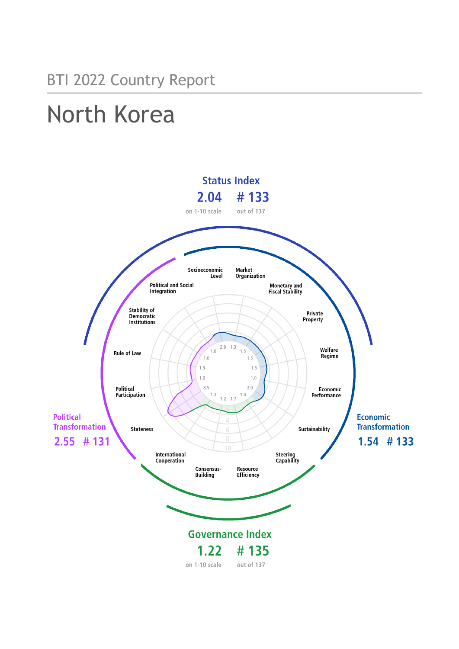# North Korea

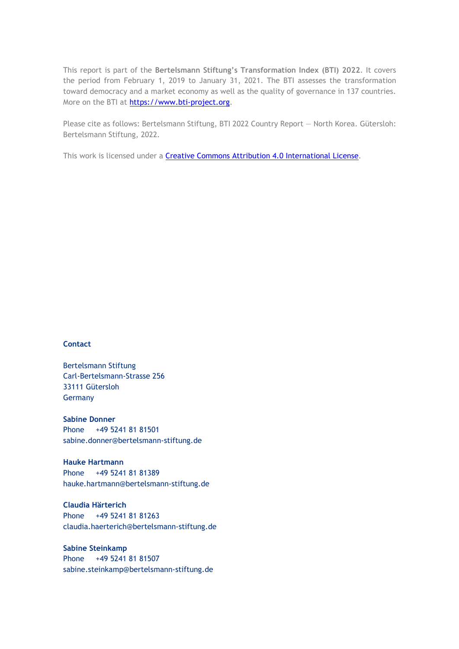This report is part of the **Bertelsmann Stiftung's Transformation Index (BTI) 2022**. It covers the period from February 1, 2019 to January 31, 2021. The BTI assesses the transformation toward democracy and a market economy as well as the quality of governance in 137 countries. More on the BTI at [https://www.bti-project.org.](https://www.bti-project.org/)

Please cite as follows: Bertelsmann Stiftung, BTI 2022 Country Report — North Korea. Gütersloh: Bertelsmann Stiftung, 2022.

This work is licensed under a **Creative Commons Attribution 4.0 International License**.

#### **Contact**

Bertelsmann Stiftung Carl-Bertelsmann-Strasse 256 33111 Gütersloh Germany

**Sabine Donner** Phone +49 5241 81 81501 sabine.donner@bertelsmann-stiftung.de

**Hauke Hartmann** Phone +49 5241 81 81389 hauke.hartmann@bertelsmann-stiftung.de

**Claudia Härterich** Phone +49 5241 81 81263 claudia.haerterich@bertelsmann-stiftung.de

**Sabine Steinkamp** Phone +49 5241 81 81507 sabine.steinkamp@bertelsmann-stiftung.de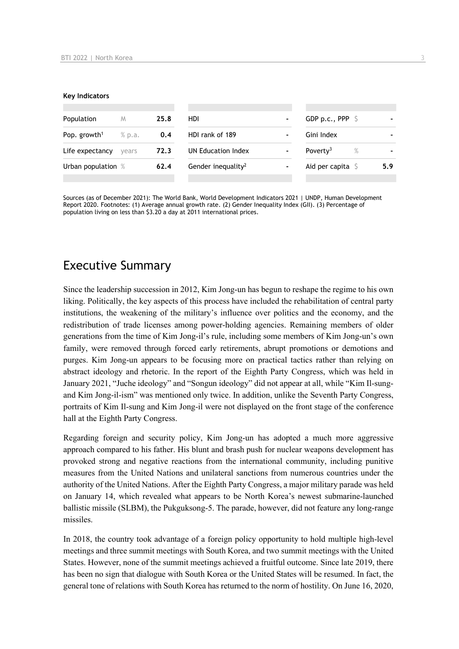#### **Key Indicators**

| Population               | M      | 25.8 | HDI                            | $\blacksquare$               | GDP p.c., PPP $\Diamond$     |     |
|--------------------------|--------|------|--------------------------------|------------------------------|------------------------------|-----|
| Pop. growth <sup>1</sup> | % p.a. | 0.4  | HDI rank of 189                | ۰                            | Gini Index                   |     |
| Life expectancy          | vears  | 72.3 | UN Education Index             | $\blacksquare$               | Poverty <sup>3</sup><br>$\%$ |     |
| Urban population %       |        | 62.4 | Gender inequality <sup>2</sup> | $\qquad \qquad \blacksquare$ | Aid per capita $\sqrt{5}$    | 5.9 |
|                          |        |      |                                |                              |                              |     |

Sources (as of December 2021): The World Bank, World Development Indicators 2021 | UNDP, Human Development Report 2020. Footnotes: (1) Average annual growth rate. (2) Gender Inequality Index (GII). (3) Percentage of population living on less than \$3.20 a day at 2011 international prices.

# Executive Summary

Since the leadership succession in 2012, Kim Jong-un has begun to reshape the regime to his own liking. Politically, the key aspects of this process have included the rehabilitation of central party institutions, the weakening of the military's influence over politics and the economy, and the redistribution of trade licenses among power-holding agencies. Remaining members of older generations from the time of Kim Jong-il's rule, including some members of Kim Jong-un's own family, were removed through forced early retirements, abrupt promotions or demotions and purges. Kim Jong-un appears to be focusing more on practical tactics rather than relying on abstract ideology and rhetoric. In the report of the Eighth Party Congress, which was held in January 2021, "Juche ideology" and "Songun ideology" did not appear at all, while "Kim Il-sungand Kim Jong-il-ism" was mentioned only twice. In addition, unlike the Seventh Party Congress, portraits of Kim Il-sung and Kim Jong-il were not displayed on the front stage of the conference hall at the Eighth Party Congress.

Regarding foreign and security policy, Kim Jong-un has adopted a much more aggressive approach compared to his father. His blunt and brash push for nuclear weapons development has provoked strong and negative reactions from the international community, including punitive measures from the United Nations and unilateral sanctions from numerous countries under the authority of the United Nations. After the Eighth Party Congress, a major military parade was held on January 14, which revealed what appears to be North Korea's newest submarine-launched ballistic missile (SLBM), the Pukguksong-5. The parade, however, did not feature any long-range missiles.

In 2018, the country took advantage of a foreign policy opportunity to hold multiple high-level meetings and three summit meetings with South Korea, and two summit meetings with the United States. However, none of the summit meetings achieved a fruitful outcome. Since late 2019, there has been no sign that dialogue with South Korea or the United States will be resumed. In fact, the general tone of relations with South Korea has returned to the norm of hostility. On June 16, 2020,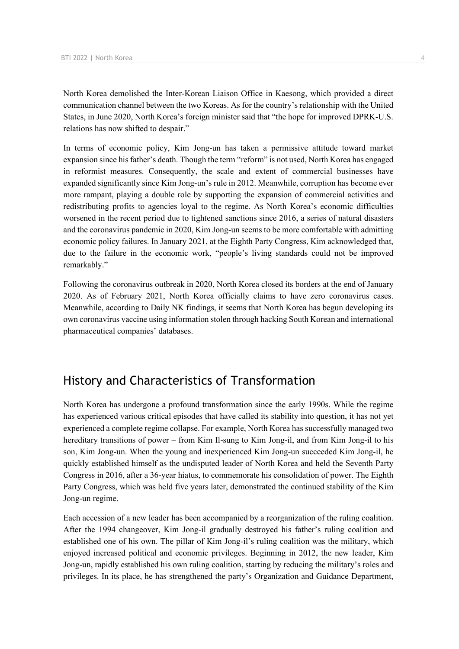North Korea demolished the Inter-Korean Liaison Office in Kaesong, which provided a direct communication channel between the two Koreas. As for the country's relationship with the United States, in June 2020, North Korea's foreign minister said that "the hope for improved DPRK-U.S. relations has now shifted to despair."

In terms of economic policy, Kim Jong-un has taken a permissive attitude toward market expansion since his father's death. Though the term "reform" is not used, North Korea has engaged in reformist measures. Consequently, the scale and extent of commercial businesses have expanded significantly since Kim Jong-un's rule in 2012. Meanwhile, corruption has become ever more rampant, playing a double role by supporting the expansion of commercial activities and redistributing profits to agencies loyal to the regime. As North Korea's economic difficulties worsened in the recent period due to tightened sanctions since 2016, a series of natural disasters and the coronavirus pandemic in 2020, Kim Jong-un seems to be more comfortable with admitting economic policy failures. In January 2021, at the Eighth Party Congress, Kim acknowledged that, due to the failure in the economic work, "people's living standards could not be improved remarkably."

Following the coronavirus outbreak in 2020, North Korea closed its borders at the end of January 2020. As of February 2021, North Korea officially claims to have zero coronavirus cases. Meanwhile, according to Daily NK findings, it seems that North Korea has begun developing its own coronavirus vaccine using information stolen through hacking South Korean and international pharmaceutical companies' databases.

# History and Characteristics of Transformation

North Korea has undergone a profound transformation since the early 1990s. While the regime has experienced various critical episodes that have called its stability into question, it has not yet experienced a complete regime collapse. For example, North Korea has successfully managed two hereditary transitions of power – from Kim Il-sung to Kim Jong-il, and from Kim Jong-il to his son, Kim Jong-un. When the young and inexperienced Kim Jong-un succeeded Kim Jong-il, he quickly established himself as the undisputed leader of North Korea and held the Seventh Party Congress in 2016, after a 36-year hiatus, to commemorate his consolidation of power. The Eighth Party Congress, which was held five years later, demonstrated the continued stability of the Kim Jong-un regime.

Each accession of a new leader has been accompanied by a reorganization of the ruling coalition. After the 1994 changeover, Kim Jong-il gradually destroyed his father's ruling coalition and established one of his own. The pillar of Kim Jong-il's ruling coalition was the military, which enjoyed increased political and economic privileges. Beginning in 2012, the new leader, Kim Jong-un, rapidly established his own ruling coalition, starting by reducing the military's roles and privileges. In its place, he has strengthened the party's Organization and Guidance Department,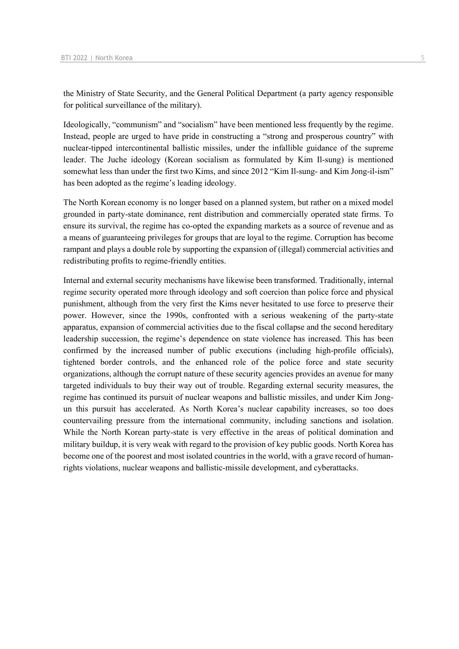the Ministry of State Security, and the General Political Department (a party agency responsible for political surveillance of the military).

Ideologically, "communism" and "socialism" have been mentioned less frequently by the regime. Instead, people are urged to have pride in constructing a "strong and prosperous country" with nuclear-tipped intercontinental ballistic missiles, under the infallible guidance of the supreme leader. The Juche ideology (Korean socialism as formulated by Kim Il-sung) is mentioned somewhat less than under the first two Kims, and since 2012 "Kim Il-sung- and Kim Jong-il-ism" has been adopted as the regime's leading ideology.

The North Korean economy is no longer based on a planned system, but rather on a mixed model grounded in party-state dominance, rent distribution and commercially operated state firms. To ensure its survival, the regime has co-opted the expanding markets as a source of revenue and as a means of guaranteeing privileges for groups that are loyal to the regime. Corruption has become rampant and plays a double role by supporting the expansion of (illegal) commercial activities and redistributing profits to regime-friendly entities.

Internal and external security mechanisms have likewise been transformed. Traditionally, internal regime security operated more through ideology and soft coercion than police force and physical punishment, although from the very first the Kims never hesitated to use force to preserve their power. However, since the 1990s, confronted with a serious weakening of the party-state apparatus, expansion of commercial activities due to the fiscal collapse and the second hereditary leadership succession, the regime's dependence on state violence has increased. This has been confirmed by the increased number of public executions (including high-profile officials), tightened border controls, and the enhanced role of the police force and state security organizations, although the corrupt nature of these security agencies provides an avenue for many targeted individuals to buy their way out of trouble. Regarding external security measures, the regime has continued its pursuit of nuclear weapons and ballistic missiles, and under Kim Jongun this pursuit has accelerated. As North Korea's nuclear capability increases, so too does countervailing pressure from the international community, including sanctions and isolation. While the North Korean party-state is very effective in the areas of political domination and military buildup, it is very weak with regard to the provision of key public goods. North Korea has become one of the poorest and most isolated countries in the world, with a grave record of humanrights violations, nuclear weapons and ballistic-missile development, and cyberattacks.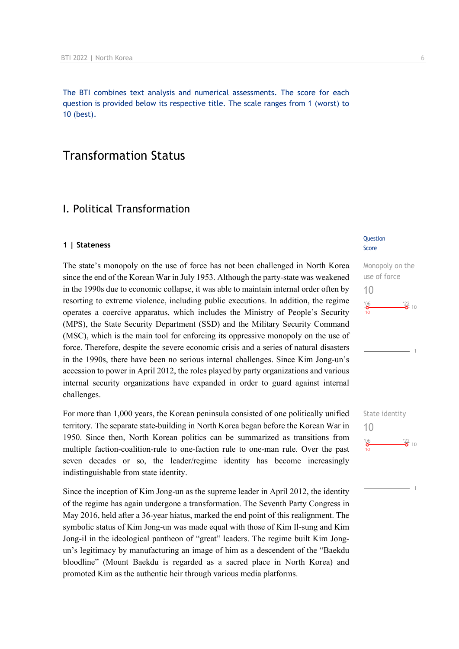The BTI combines text analysis and numerical assessments. The score for each question is provided below its respective title. The scale ranges from 1 (worst) to 10 (best).

# Transformation Status

## I. Political Transformation

#### **1 | Stateness**

The state's monopoly on the use of force has not been challenged in North Korea since the end of the Korean War in July 1953. Although the party-state was weakened in the 1990s due to economic collapse, it was able to maintain internal order often by resorting to extreme violence, including public executions. In addition, the regime operates a coercive apparatus, which includes the Ministry of People's Security (MPS), the State Security Department (SSD) and the Military Security Command (MSC), which is the main tool for enforcing its oppressive monopoly on the use of force. Therefore, despite the severe economic crisis and a series of natural disasters in the 1990s, there have been no serious internal challenges. Since Kim Jong-un's accession to power in April 2012, the roles played by party organizations and various internal security organizations have expanded in order to guard against internal challenges.

For more than 1,000 years, the Korean peninsula consisted of one politically unified territory. The separate state-building in North Korea began before the Korean War in 1950. Since then, North Korean politics can be summarized as transitions from multiple faction-coalition-rule to one-faction rule to one-man rule. Over the past seven decades or so, the leader/regime identity has become increasingly indistinguishable from state identity.

Since the inception of Kim Jong-un as the supreme leader in April 2012, the identity of the regime has again undergone a transformation. The Seventh Party Congress in May 2016, held after a 36-year hiatus, marked the end point of this realignment. The symbolic status of Kim Jong-un was made equal with those of Kim Il-sung and Kim Jong-il in the ideological pantheon of "great" leaders. The regime built Kim Jongun's legitimacy by manufacturing an image of him as a descendent of the "Baekdu bloodline" (Mount Baekdu is regarded as a sacred place in North Korea) and promoted Kim as the authentic heir through various media platforms.

#### **Question** Score



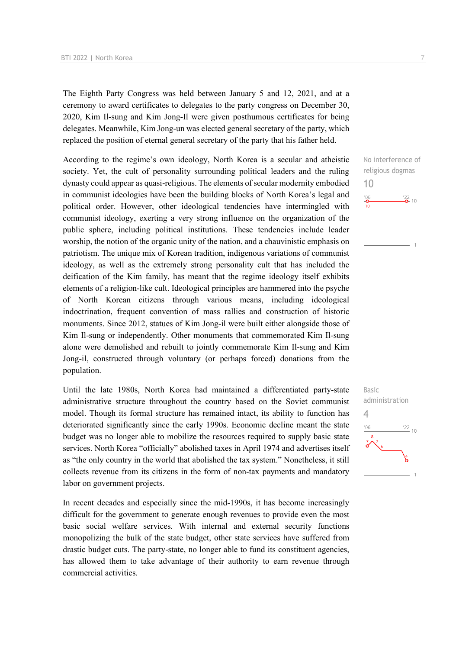The Eighth Party Congress was held between January 5 and 12, 2021, and at a ceremony to award certificates to delegates to the party congress on December 30, 2020, Kim Il-sung and Kim Jong-Il were given posthumous certificates for being delegates. Meanwhile, Kim Jong-un was elected general secretary of the party, which replaced the position of eternal general secretary of the party that his father held.

According to the regime's own ideology, North Korea is a secular and atheistic society. Yet, the cult of personality surrounding political leaders and the ruling dynasty could appear as quasi-religious. The elements of secular modernity embodied in communist ideologies have been the building blocks of North Korea's legal and political order. However, other ideological tendencies have intermingled with communist ideology, exerting a very strong influence on the organization of the public sphere, including political institutions. These tendencies include leader worship, the notion of the organic unity of the nation, and a chauvinistic emphasis on patriotism. The unique mix of Korean tradition, indigenous variations of communist ideology, as well as the extremely strong personality cult that has included the deification of the Kim family, has meant that the regime ideology itself exhibits elements of a religion-like cult. Ideological principles are hammered into the psyche of North Korean citizens through various means, including ideological indoctrination, frequent convention of mass rallies and construction of historic monuments. Since 2012, statues of Kim Jong-il were built either alongside those of Kim Il-sung or independently. Other monuments that commemorated Kim Il-sung alone were demolished and rebuilt to jointly commemorate Kim Il-sung and Kim Jong-il, constructed through voluntary (or perhaps forced) donations from the population.

Until the late 1980s, North Korea had maintained a differentiated party-state administrative structure throughout the country based on the Soviet communist model. Though its formal structure has remained intact, its ability to function has deteriorated significantly since the early 1990s. Economic decline meant the state budget was no longer able to mobilize the resources required to supply basic state services. North Korea "officially" abolished taxes in April 1974 and advertises itself as "the only country in the world that abolished the tax system." Nonetheless, it still collects revenue from its citizens in the form of non-tax payments and mandatory labor on government projects.

In recent decades and especially since the mid-1990s, it has become increasingly difficult for the government to generate enough revenues to provide even the most basic social welfare services. With internal and external security functions monopolizing the bulk of the state budget, other state services have suffered from drastic budget cuts. The party-state, no longer able to fund its constituent agencies, has allowed them to take advantage of their authority to earn revenue through commercial activities.

No interference of religious dogmas 10  $^{106}$  $\frac{22}{2}$  10

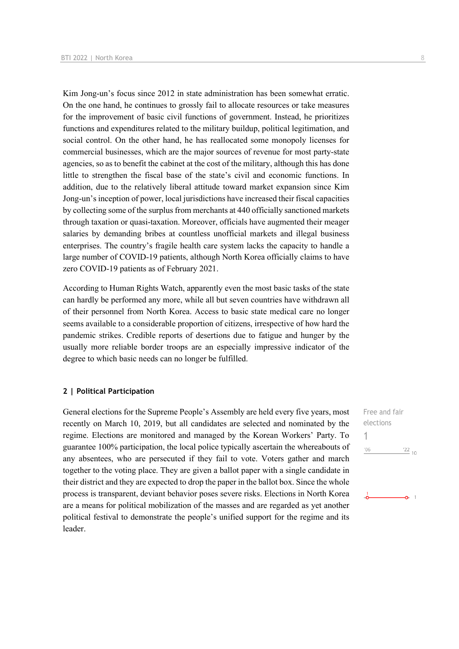Kim Jong-un's focus since 2012 in state administration has been somewhat erratic. On the one hand, he continues to grossly fail to allocate resources or take measures for the improvement of basic civil functions of government. Instead, he prioritizes functions and expenditures related to the military buildup, political legitimation, and social control. On the other hand, he has reallocated some monopoly licenses for commercial businesses, which are the major sources of revenue for most party-state agencies, so as to benefit the cabinet at the cost of the military, although this has done little to strengthen the fiscal base of the state's civil and economic functions. In addition, due to the relatively liberal attitude toward market expansion since Kim Jong-un's inception of power, local jurisdictions have increased their fiscal capacities by collecting some of the surplus from merchants at 440 officially sanctioned markets through taxation or quasi-taxation. Moreover, officials have augmented their meager salaries by demanding bribes at countless unofficial markets and illegal business enterprises. The country's fragile health care system lacks the capacity to handle a large number of COVID-19 patients, although North Korea officially claims to have zero COVID-19 patients as of February 2021.

According to Human Rights Watch, apparently even the most basic tasks of the state can hardly be performed any more, while all but seven countries have withdrawn all of their personnel from North Korea. Access to basic state medical care no longer seems available to a considerable proportion of citizens, irrespective of how hard the pandemic strikes. Credible reports of desertions due to fatigue and hunger by the usually more reliable border troops are an especially impressive indicator of the degree to which basic needs can no longer be fulfilled.

#### **2 | Political Participation**

General elections for the Supreme People's Assembly are held every five years, most recently on March 10, 2019, but all candidates are selected and nominated by the regime. Elections are monitored and managed by the Korean Workers' Party. To guarantee 100% participation, the local police typically ascertain the whereabouts of any absentees, who are persecuted if they fail to vote. Voters gather and march together to the voting place. They are given a ballot paper with a single candidate in their district and they are expected to drop the paper in the ballot box. Since the whole process is transparent, deviant behavior poses severe risks. Elections in North Korea are a means for political mobilization of the masses and are regarded as yet another political festival to demonstrate the people's unified support for the regime and its leader.

Free and fair elections 1 $-06$  $^{22}$  10

 $\sim$  1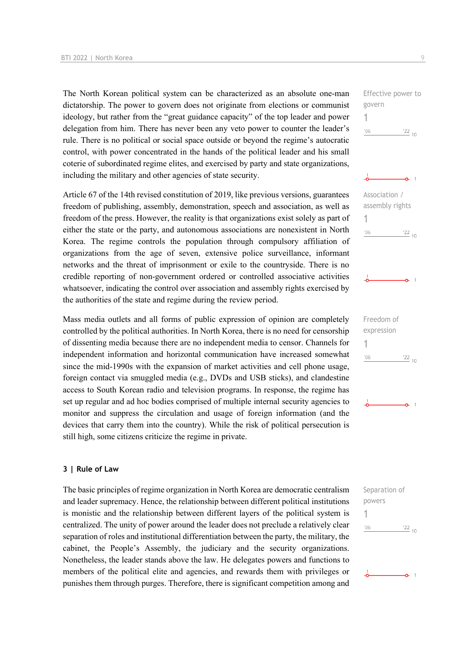The North Korean political system can be characterized as an absolute one-man dictatorship. The power to govern does not originate from elections or communist ideology, but rather from the "great guidance capacity" of the top leader and power delegation from him. There has never been any veto power to counter the leader's rule. There is no political or social space outside or beyond the regime's autocratic control, with power concentrated in the hands of the political leader and his small coterie of subordinated regime elites, and exercised by party and state organizations, including the military and other agencies of state security.

Article 67 of the 14th revised constitution of 2019, like previous versions, guarantees freedom of publishing, assembly, demonstration, speech and association, as well as freedom of the press. However, the reality is that organizations exist solely as part of either the state or the party, and autonomous associations are nonexistent in North Korea. The regime controls the population through compulsory affiliation of organizations from the age of seven, extensive police surveillance, informant networks and the threat of imprisonment or exile to the countryside. There is no credible reporting of non-government ordered or controlled associative activities whatsoever, indicating the control over association and assembly rights exercised by the authorities of the state and regime during the review period.

Mass media outlets and all forms of public expression of opinion are completely controlled by the political authorities. In North Korea, there is no need for censorship of dissenting media because there are no independent media to censor. Channels for independent information and horizontal communication have increased somewhat since the mid-1990s with the expansion of market activities and cell phone usage, foreign contact via smuggled media (e.g., DVDs and USB sticks), and clandestine access to South Korean radio and television programs. In response, the regime has set up regular and ad hoc bodies comprised of multiple internal security agencies to monitor and suppress the circulation and usage of foreign information (and the devices that carry them into the country). While the risk of political persecution is still high, some citizens criticize the regime in private.

#### **3 | Rule of Law**

The basic principles of regime organization in North Korea are democratic centralism and leader supremacy. Hence, the relationship between different political institutions is monistic and the relationship between different layers of the political system is centralized. The unity of power around the leader does not preclude a relatively clear separation of roles and institutional differentiation between the party, the military, the cabinet, the People's Assembly, the judiciary and the security organizations. Nonetheless, the leader stands above the law. He delegates powers and functions to members of the political elite and agencies, and rewards them with privileges or punishes them through purges. Therefore, there is significant competition among and



govern 1

| Association /   |            |
|-----------------|------------|
| assembly rights |            |
| 1               |            |
| 106             | $122_{10}$ |



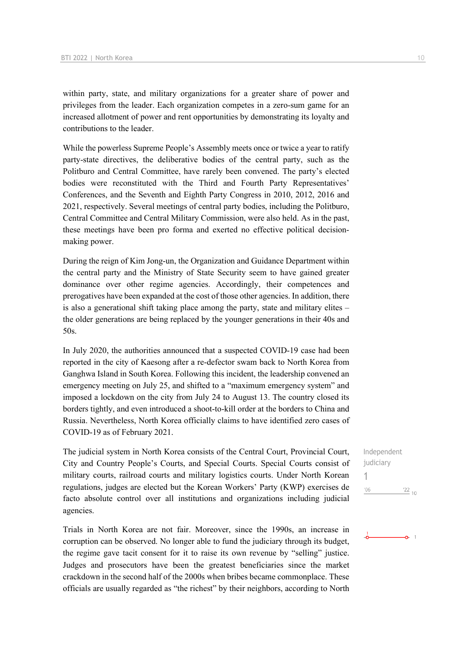within party, state, and military organizations for a greater share of power and privileges from the leader. Each organization competes in a zero-sum game for an increased allotment of power and rent opportunities by demonstrating its loyalty and contributions to the leader.

While the powerless Supreme People's Assembly meets once or twice a year to ratify party-state directives, the deliberative bodies of the central party, such as the Politburo and Central Committee, have rarely been convened. The party's elected bodies were reconstituted with the Third and Fourth Party Representatives' Conferences, and the Seventh and Eighth Party Congress in 2010, 2012, 2016 and 2021, respectively. Several meetings of central party bodies, including the Politburo, Central Committee and Central Military Commission, were also held. As in the past, these meetings have been pro forma and exerted no effective political decisionmaking power.

During the reign of Kim Jong-un, the Organization and Guidance Department within the central party and the Ministry of State Security seem to have gained greater dominance over other regime agencies. Accordingly, their competences and prerogatives have been expanded at the cost of those other agencies. In addition, there is also a generational shift taking place among the party, state and military elites – the older generations are being replaced by the younger generations in their 40s and 50s.

In July 2020, the authorities announced that a suspected COVID-19 case had been reported in the city of Kaesong after a re-defector swam back to North Korea from Ganghwa Island in South Korea. Following this incident, the leadership convened an emergency meeting on July 25, and shifted to a "maximum emergency system" and imposed a lockdown on the city from July 24 to August 13. The country closed its borders tightly, and even introduced a shoot-to-kill order at the borders to China and Russia. Nevertheless, North Korea officially claims to have identified zero cases of COVID-19 as of February 2021.

The judicial system in North Korea consists of the Central Court, Provincial Court, City and Country People's Courts, and Special Courts. Special Courts consist of military courts, railroad courts and military logistics courts. Under North Korean regulations, judges are elected but the Korean Workers' Party (KWP) exercises de facto absolute control over all institutions and organizations including judicial agencies.

Trials in North Korea are not fair. Moreover, since the 1990s, an increase in corruption can be observed. No longer able to fund the judiciary through its budget, the regime gave tacit consent for it to raise its own revenue by "selling" justice. Judges and prosecutors have been the greatest beneficiaries since the market crackdown in the second half of the 2000s when bribes became commonplace. These officials are usually regarded as "the richest" by their neighbors, according to North

Independent iudiciary 1 $\frac{22}{10}$  $06'$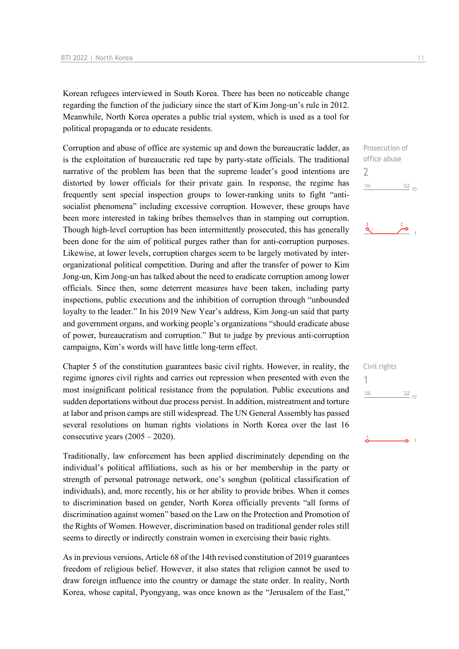Korean refugees interviewed in South Korea. There has been no noticeable change regarding the function of the judiciary since the start of Kim Jong-un's rule in 2012. Meanwhile, North Korea operates a public trial system, which is used as a tool for political propaganda or to educate residents.

Corruption and abuse of office are systemic up and down the bureaucratic ladder, as is the exploitation of bureaucratic red tape by party-state officials. The traditional narrative of the problem has been that the supreme leader's good intentions are distorted by lower officials for their private gain. In response, the regime has frequently sent special inspection groups to lower-ranking units to fight "antisocialist phenomena" including excessive corruption. However, these groups have been more interested in taking bribes themselves than in stamping out corruption. Though high-level corruption has been intermittently prosecuted, this has generally been done for the aim of political purges rather than for anti-corruption purposes. Likewise, at lower levels, corruption charges seem to be largely motivated by interorganizational political competition. During and after the transfer of power to Kim Jong-un, Kim Jong-un has talked about the need to eradicate corruption among lower officials. Since then, some deterrent measures have been taken, including party inspections, public executions and the inhibition of corruption through "unbounded loyalty to the leader." In his 2019 New Year's address, Kim Jong-un said that party and government organs, and working people's organizations "should eradicate abuse of power, bureaucratism and corruption." But to judge by previous anti-corruption campaigns, Kim's words will have little long-term effect.

Chapter 5 of the constitution guarantees basic civil rights. However, in reality, the regime ignores civil rights and carries out repression when presented with even the most insignificant political resistance from the population. Public executions and sudden deportations without due process persist. In addition, mistreatment and torture at labor and prison camps are still widespread. The UN General Assembly has passed several resolutions on human rights violations in North Korea over the last 16 consecutive years (2005 – 2020).

Traditionally, law enforcement has been applied discriminately depending on the individual's political affiliations, such as his or her membership in the party or strength of personal patronage network, one's songbun (political classification of individuals), and, more recently, his or her ability to provide bribes. When it comes to discrimination based on gender, North Korea officially prevents "all forms of discrimination against women" based on the Law on the Protection and Promotion of the Rights of Women. However, discrimination based on traditional gender roles still seems to directly or indirectly constrain women in exercising their basic rights.

As in previous versions, Article 68 of the 14th revised constitution of 2019 guarantees freedom of religious belief. However, it also states that religion cannot be used to draw foreign influence into the country or damage the state order. In reality, North Korea, whose capital, Pyongyang, was once known as the "Jerusalem of the East,"

 $\overline{\phantom{0}}$ 

 $^{\prime}06$ 



Civil rights 1 $^{\prime}06$  $\frac{22}{10}$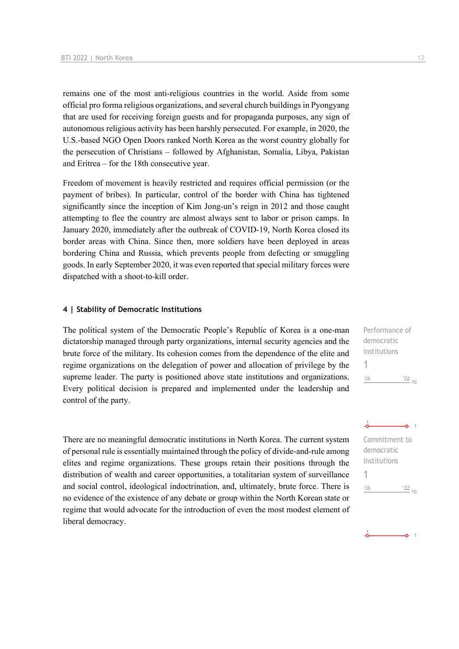remains one of the most anti-religious countries in the world. Aside from some official pro forma religious organizations, and several church buildings in Pyongyang that are used for receiving foreign guests and for propaganda purposes, any sign of autonomous religious activity has been harshly persecuted. For example, in 2020, the U.S.-based NGO Open Doors ranked North Korea as the worst country globally for the persecution of Christians – followed by Afghanistan, Somalia, Libya, Pakistan and Eritrea – for the 18th consecutive year.

Freedom of movement is heavily restricted and requires official permission (or the payment of bribes). In particular, control of the border with China has tightened significantly since the inception of Kim Jong-un's reign in 2012 and those caught attempting to flee the country are almost always sent to labor or prison camps. In January 2020, immediately after the outbreak of COVID-19, North Korea closed its border areas with China. Since then, more soldiers have been deployed in areas bordering China and Russia, which prevents people from defecting or smuggling goods. In early September 2020, it was even reported that special military forces were dispatched with a shoot-to-kill order.

#### **4 | Stability of Democratic Institutions**

The political system of the Democratic People's Republic of Korea is a one-man dictatorship managed through party organizations, internal security agencies and the brute force of the military. Its cohesion comes from the dependence of the elite and regime organizations on the delegation of power and allocation of privilege by the supreme leader. The party is positioned above state institutions and organizations. Every political decision is prepared and implemented under the leadership and control of the party.

There are no meaningful democratic institutions in North Korea. The current system of personal rule is essentially maintained through the policy of divide-and-rule among elites and regime organizations. These groups retain their positions through the distribution of wealth and career opportunities, a totalitarian system of surveillance and social control, ideological indoctrination, and, ultimately, brute force. There is no evidence of the existence of any debate or group within the North Korean state or regime that would advocate for the introduction of even the most modest element of liberal democracy.

Performance of democratic institutions 1  $\frac{22}{10}$  $'06$ 

 $-0.1$ Commitment to democratic institutions 1 $^{\prime}06$  $\frac{22}{10}$ 

 $\sim$  1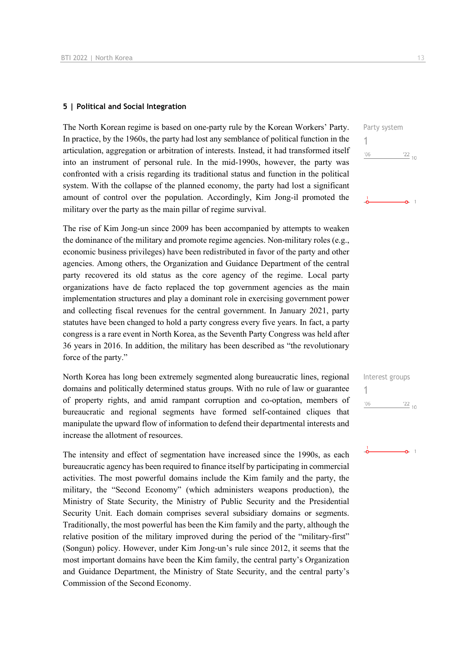#### **5 | Political and Social Integration**

The North Korean regime is based on one-party rule by the Korean Workers' Party. In practice, by the 1960s, the party had lost any semblance of political function in the articulation, aggregation or arbitration of interests. Instead, it had transformed itself into an instrument of personal rule. In the mid-1990s, however, the party was confronted with a crisis regarding its traditional status and function in the political system. With the collapse of the planned economy, the party had lost a significant amount of control over the population. Accordingly, Kim Jong-il promoted the military over the party as the main pillar of regime survival.

The rise of Kim Jong-un since 2009 has been accompanied by attempts to weaken the dominance of the military and promote regime agencies. Non-military roles (e.g., economic business privileges) have been redistributed in favor of the party and other agencies. Among others, the Organization and Guidance Department of the central party recovered its old status as the core agency of the regime. Local party organizations have de facto replaced the top government agencies as the main implementation structures and play a dominant role in exercising government power and collecting fiscal revenues for the central government. In January 2021, party statutes have been changed to hold a party congress every five years. In fact, a party congress is a rare event in North Korea, as the Seventh Party Congress was held after 36 years in 2016. In addition, the military has been described as "the revolutionary force of the party."

North Korea has long been extremely segmented along bureaucratic lines, regional domains and politically determined status groups. With no rule of law or guarantee of property rights, and amid rampant corruption and co-optation, members of bureaucratic and regional segments have formed self-contained cliques that manipulate the upward flow of information to defend their departmental interests and increase the allotment of resources.

The intensity and effect of segmentation have increased since the 1990s, as each bureaucratic agency has been required to finance itself by participating in commercial activities. The most powerful domains include the Kim family and the party, the military, the "Second Economy" (which administers weapons production), the Ministry of State Security, the Ministry of Public Security and the Presidential Security Unit. Each domain comprises several subsidiary domains or segments. Traditionally, the most powerful has been the Kim family and the party, although the relative position of the military improved during the period of the "military-first" (Songun) policy. However, under Kim Jong-un's rule since 2012, it seems that the most important domains have been the Kim family, the central party's Organization and Guidance Department, the Ministry of State Security, and the central party's Commission of the Second Economy.

Party system 1  $\frac{22}{10}$  $'06$  $\sim$  1

| Interest groups |                 |
|-----------------|-----------------|
|                 |                 |
| '06             | $\frac{22}{10}$ |
|                 |                 |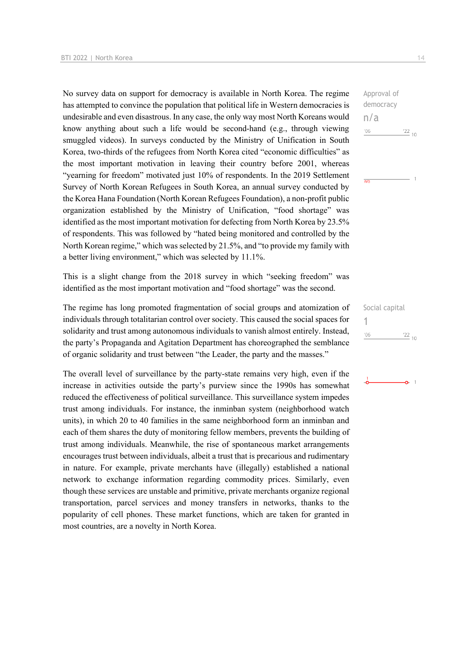No survey data on support for democracy is available in North Korea. The regime has attempted to convince the population that political life in Western democracies is undesirable and even disastrous. In any case, the only way most North Koreans would know anything about such a life would be second-hand (e.g., through viewing smuggled videos). In surveys conducted by the Ministry of Unification in South Korea, two-thirds of the refugees from North Korea cited "economic difficulties" as the most important motivation in leaving their country before 2001, whereas "yearning for freedom" motivated just 10% of respondents. In the 2019 Settlement Survey of North Korean Refugees in South Korea, an annual survey conducted by the Korea Hana Foundation (North Korean Refugees Foundation), a non-profit public organization established by the Ministry of Unification, "food shortage" was identified as the most important motivation for defecting from North Korea by 23.5% of respondents. This was followed by "hated being monitored and controlled by the North Korean regime," which was selected by 21.5%, and "to provide my family with a better living environment," which was selected by 11.1%.

This is a slight change from the 2018 survey in which "seeking freedom" was identified as the most important motivation and "food shortage" was the second.

The regime has long promoted fragmentation of social groups and atomization of individuals through totalitarian control over society. This caused the social spaces for solidarity and trust among autonomous individuals to vanish almost entirely. Instead, the party's Propaganda and Agitation Department has choreographed the semblance of organic solidarity and trust between "the Leader, the party and the masses."

The overall level of surveillance by the party-state remains very high, even if the increase in activities outside the party's purview since the 1990s has somewhat reduced the effectiveness of political surveillance. This surveillance system impedes trust among individuals. For instance, the inminban system (neighborhood watch units), in which 20 to 40 families in the same neighborhood form an inminban and each of them shares the duty of monitoring fellow members, prevents the building of trust among individuals. Meanwhile, the rise of spontaneous market arrangements encourages trust between individuals, albeit a trust that is precarious and rudimentary in nature. For example, private merchants have (illegally) established a national network to exchange information regarding commodity prices. Similarly, even though these services are unstable and primitive, private merchants organize regional transportation, parcel services and money transfers in networks, thanks to the popularity of cell phones. These market functions, which are taken for granted in most countries, are a novelty in North Korea.

Approval of democracy n/a  $-06$  $122_{10}$ 

 $\overline{m/s}$ 

Social capital 1 $\frac{22}{10}$  $^{\prime}06$ 

 $\overline{1}$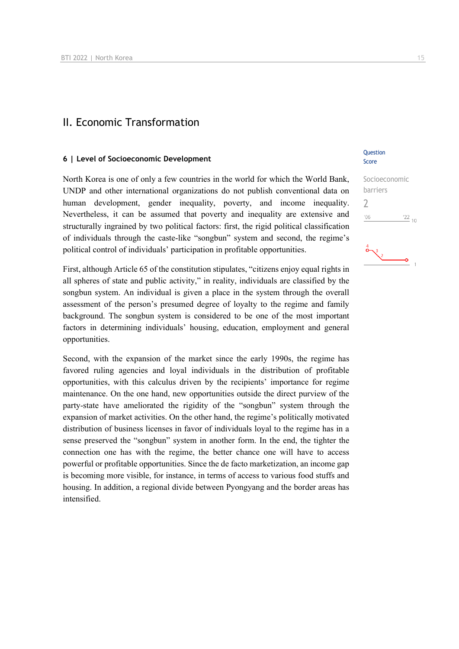## II. Economic Transformation

#### **6 | Level of Socioeconomic Development**

North Korea is one of only a few countries in the world for which the World Bank, UNDP and other international organizations do not publish conventional data on human development, gender inequality, poverty, and income inequality. Nevertheless, it can be assumed that poverty and inequality are extensive and structurally ingrained by two political factors: first, the rigid political classification of individuals through the caste-like "songbun" system and second, the regime's political control of individuals' participation in profitable opportunities.

First, although Article 65 of the constitution stipulates, "citizens enjoy equal rights in all spheres of state and public activity," in reality, individuals are classified by the songbun system. An individual is given a place in the system through the overall assessment of the person's presumed degree of loyalty to the regime and family background. The songbun system is considered to be one of the most important factors in determining individuals' housing, education, employment and general opportunities.

Second, with the expansion of the market since the early 1990s, the regime has favored ruling agencies and loyal individuals in the distribution of profitable opportunities, with this calculus driven by the recipients' importance for regime maintenance. On the one hand, new opportunities outside the direct purview of the party-state have ameliorated the rigidity of the "songbun" system through the expansion of market activities. On the other hand, the regime's politically motivated distribution of business licenses in favor of individuals loyal to the regime has in a sense preserved the "songbun" system in another form. In the end, the tighter the connection one has with the regime, the better chance one will have to access powerful or profitable opportunities. Since the de facto marketization, an income gap is becoming more visible, for instance, in terms of access to various food stuffs and housing. In addition, a regional divide between Pyongyang and the border areas has intensified.

#### **Ouestion** Score

| Socioeconomic |                 |
|---------------|-----------------|
| barriers      |                 |
|               |                 |
| '06           | $\frac{22}{10}$ |
|               |                 |

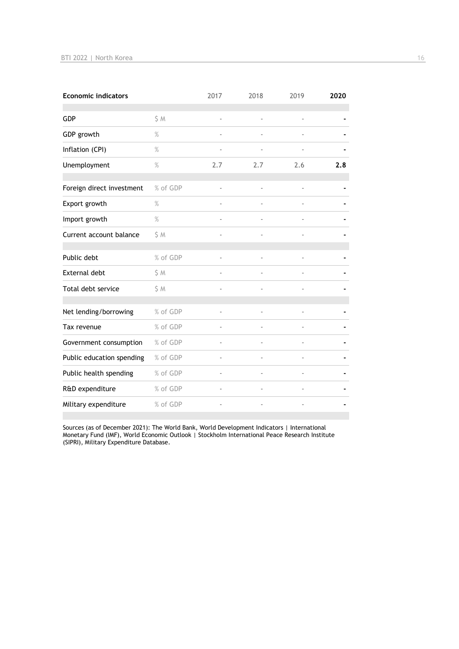| <b>Economic indicators</b> |          | 2017                     | 2018 | 2019           | 2020 |
|----------------------------|----------|--------------------------|------|----------------|------|
| GDP                        | S M      | $\blacksquare$           |      | $\blacksquare$ |      |
| GDP growth                 | $\%$     | $\overline{\phantom{a}}$ |      |                |      |
| Inflation (CPI)            | $\%$     |                          |      |                |      |
| Unemployment               | $\%$     | 2.7                      | 2.7  | 2.6            | 2.8  |
|                            |          |                          |      |                |      |
| Foreign direct investment  | % of GDP | ä,                       |      |                |      |
| Export growth              | %        |                          |      |                |      |
| Import growth              | $\%$     |                          |      |                |      |
| Current account balance    | \$M      |                          |      |                |      |
|                            |          |                          |      |                |      |
| Public debt                | % of GDP |                          |      |                |      |
| <b>External debt</b>       | \$ M     |                          |      |                |      |
| Total debt service         | \$M      |                          |      |                |      |
|                            |          |                          |      |                |      |
| Net lending/borrowing      | % of GDP |                          |      |                |      |
| Tax revenue                | % of GDP |                          |      |                |      |
| Government consumption     | % of GDP |                          |      |                |      |
| Public education spending  | % of GDP | ä,                       |      |                |      |
| Public health spending     | % of GDP |                          |      |                |      |
| R&D expenditure            | % of GDP | ä,                       |      |                |      |
| Military expenditure       | % of GDP |                          |      |                |      |

Sources (as of December 2021): The World Bank, World Development Indicators | International Monetary Fund (IMF), World Economic Outlook | Stockholm International Peace Research Institute (SIPRI), Military Expenditure Database.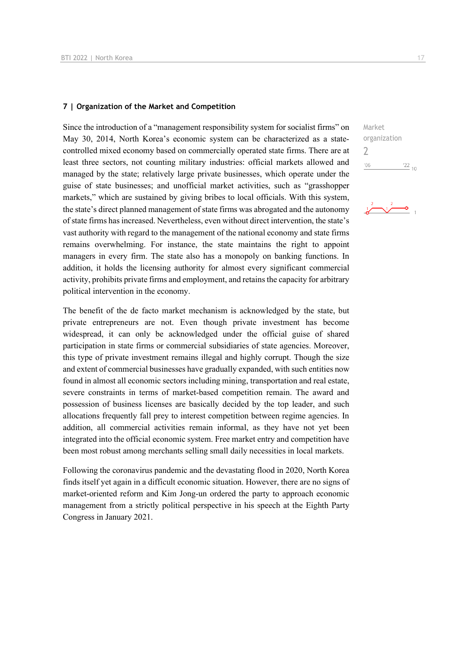#### **7 | Organization of the Market and Competition**

Since the introduction of a "management responsibility system for socialist firms" on May 30, 2014, North Korea's economic system can be characterized as a statecontrolled mixed economy based on commercially operated state firms. There are at least three sectors, not counting military industries: official markets allowed and managed by the state; relatively large private businesses, which operate under the guise of state businesses; and unofficial market activities, such as "grasshopper markets," which are sustained by giving bribes to local officials. With this system, the state's direct planned management of state firms was abrogated and the autonomy of state firms has increased. Nevertheless, even without direct intervention, the state's vast authority with regard to the management of the national economy and state firms remains overwhelming. For instance, the state maintains the right to appoint managers in every firm. The state also has a monopoly on banking functions. In addition, it holds the licensing authority for almost every significant commercial activity, prohibits private firms and employment, and retains the capacity for arbitrary political intervention in the economy.

The benefit of the de facto market mechanism is acknowledged by the state, but private entrepreneurs are not. Even though private investment has become widespread, it can only be acknowledged under the official guise of shared participation in state firms or commercial subsidiaries of state agencies. Moreover, this type of private investment remains illegal and highly corrupt. Though the size and extent of commercial businesses have gradually expanded, with such entities now found in almost all economic sectors including mining, transportation and real estate, severe constraints in terms of market-based competition remain. The award and possession of business licenses are basically decided by the top leader, and such allocations frequently fall prey to interest competition between regime agencies. In addition, all commercial activities remain informal, as they have not yet been integrated into the official economic system. Free market entry and competition have been most robust among merchants selling small daily necessities in local markets.

Following the coronavirus pandemic and the devastating flood in 2020, North Korea finds itself yet again in a difficult economic situation. However, there are no signs of market-oriented reform and Kim Jong-un ordered the party to approach economic management from a strictly political perspective in his speech at the Eighth Party Congress in January 2021.

Market organization 2 $06'$  $\frac{22}{10}$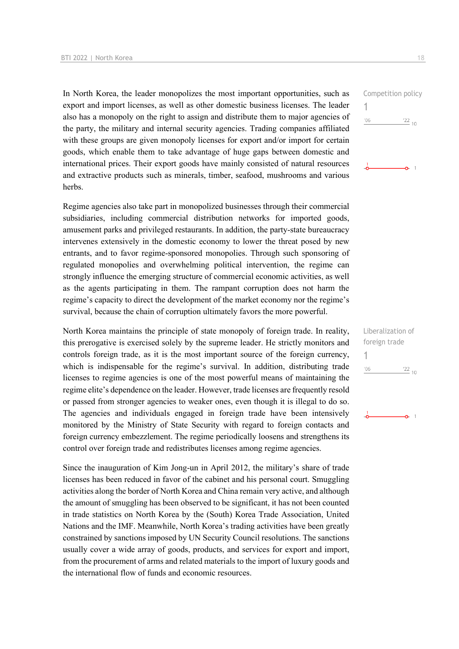In North Korea, the leader monopolizes the most important opportunities, such as export and import licenses, as well as other domestic business licenses. The leader also has a monopoly on the right to assign and distribute them to major agencies of the party, the military and internal security agencies. Trading companies affiliated with these groups are given monopoly licenses for export and/or import for certain goods, which enable them to take advantage of huge gaps between domestic and international prices. Their export goods have mainly consisted of natural resources and extractive products such as minerals, timber, seafood, mushrooms and various herbs.

Regime agencies also take part in monopolized businesses through their commercial subsidiaries, including commercial distribution networks for imported goods, amusement parks and privileged restaurants. In addition, the party-state bureaucracy intervenes extensively in the domestic economy to lower the threat posed by new entrants, and to favor regime-sponsored monopolies. Through such sponsoring of regulated monopolies and overwhelming political intervention, the regime can strongly influence the emerging structure of commercial economic activities, as well as the agents participating in them. The rampant corruption does not harm the regime's capacity to direct the development of the market economy nor the regime's survival, because the chain of corruption ultimately favors the more powerful.

North Korea maintains the principle of state monopoly of foreign trade. In reality, this prerogative is exercised solely by the supreme leader. He strictly monitors and controls foreign trade, as it is the most important source of the foreign currency, which is indispensable for the regime's survival. In addition, distributing trade licenses to regime agencies is one of the most powerful means of maintaining the regime elite's dependence on the leader. However, trade licenses are frequently resold or passed from stronger agencies to weaker ones, even though it is illegal to do so. The agencies and individuals engaged in foreign trade have been intensively monitored by the Ministry of State Security with regard to foreign contacts and foreign currency embezzlement. The regime periodically loosens and strengthens its control over foreign trade and redistributes licenses among regime agencies.

Since the inauguration of Kim Jong-un in April 2012, the military's share of trade licenses has been reduced in favor of the cabinet and his personal court. Smuggling activities along the border of North Korea and China remain very active, and although the amount of smuggling has been observed to be significant, it has not been counted in trade statistics on North Korea by the (South) Korea Trade Association, United Nations and the IMF. Meanwhile, North Korea's trading activities have been greatly constrained by sanctions imposed by UN Security Council resolutions. The sanctions usually cover a wide array of goods, products, and services for export and import, from the procurement of arms and related materials to the import of luxury goods and the international flow of funds and economic resources.



Liberalization of foreign trade 1 $'06$  $\frac{22}{10}$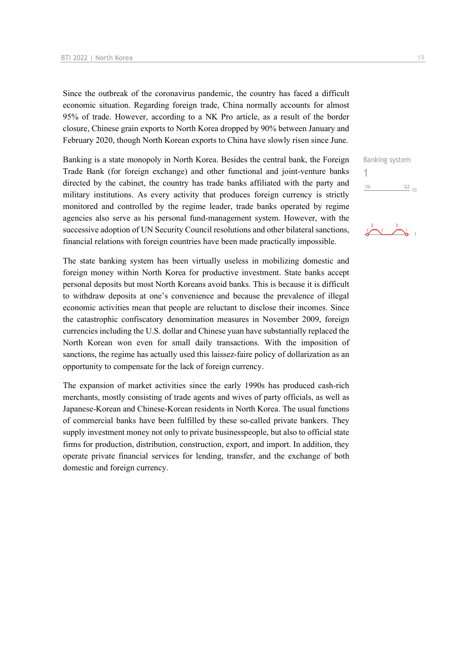Since the outbreak of the coronavirus pandemic, the country has faced a difficult economic situation. Regarding foreign trade, China normally accounts for almost 95% of trade. However, according to a NK Pro article, as a result of the border closure, Chinese grain exports to North Korea dropped by 90% between January and February 2020, though North Korean exports to China have slowly risen since June.

Banking is a state monopoly in North Korea. Besides the central bank, the Foreign Trade Bank (for foreign exchange) and other functional and joint-venture banks directed by the cabinet, the country has trade banks affiliated with the party and military institutions. As every activity that produces foreign currency is strictly monitored and controlled by the regime leader, trade banks operated by regime agencies also serve as his personal fund-management system. However, with the successive adoption of UN Security Council resolutions and other bilateral sanctions, financial relations with foreign countries have been made practically impossible.

The state banking system has been virtually useless in mobilizing domestic and foreign money within North Korea for productive investment. State banks accept personal deposits but most North Koreans avoid banks. This is because it is difficult to withdraw deposits at one's convenience and because the prevalence of illegal economic activities mean that people are reluctant to disclose their incomes. Since the catastrophic confiscatory denomination measures in November 2009, foreign currencies including the U.S. dollar and Chinese yuan have substantially replaced the North Korean won even for small daily transactions. With the imposition of sanctions, the regime has actually used this laissez-faire policy of dollarization as an opportunity to compensate for the lack of foreign currency.

The expansion of market activities since the early 1990s has produced cash-rich merchants, mostly consisting of trade agents and wives of party officials, as well as Japanese-Korean and Chinese-Korean residents in North Korea. The usual functions of commercial banks have been fulfilled by these so-called private bankers. They supply investment money not only to private businesspeople, but also to official state firms for production, distribution, construction, export, and import. In addition, they operate private financial services for lending, transfer, and the exchange of both domestic and foreign currency.

Banking system 1 $'06$  $\frac{22}{10}$ 

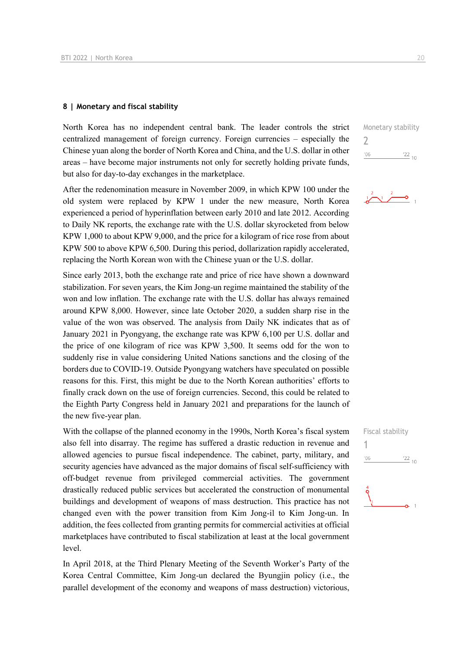#### **8 | Monetary and fiscal stability**

North Korea has no independent central bank. The leader controls the strict centralized management of foreign currency. Foreign currencies – especially the Chinese yuan along the border of North Korea and China, and the U.S. dollar in other areas – have become major instruments not only for secretly holding private funds, but also for day-to-day exchanges in the marketplace.

After the redenomination measure in November 2009, in which KPW 100 under the old system were replaced by KPW 1 under the new measure, North Korea experienced a period of hyperinflation between early 2010 and late 2012. According to Daily NK reports, the exchange rate with the U.S. dollar skyrocketed from below KPW 1,000 to about KPW 9,000, and the price for a kilogram of rice rose from about KPW 500 to above KPW 6,500. During this period, dollarization rapidly accelerated, replacing the North Korean won with the Chinese yuan or the U.S. dollar.

Since early 2013, both the exchange rate and price of rice have shown a downward stabilization. For seven years, the Kim Jong-un regime maintained the stability of the won and low inflation. The exchange rate with the U.S. dollar has always remained around KPW 8,000. However, since late October 2020, a sudden sharp rise in the value of the won was observed. The analysis from Daily NK indicates that as of January 2021 in Pyongyang, the exchange rate was KPW 6,100 per U.S. dollar and the price of one kilogram of rice was KPW 3,500. It seems odd for the won to suddenly rise in value considering United Nations sanctions and the closing of the borders due to COVID-19. Outside Pyongyang watchers have speculated on possible reasons for this. First, this might be due to the North Korean authorities' efforts to finally crack down on the use of foreign currencies. Second, this could be related to the Eighth Party Congress held in January 2021 and preparations for the launch of the new five-year plan.

With the collapse of the planned economy in the 1990s, North Korea's fiscal system also fell into disarray. The regime has suffered a drastic reduction in revenue and allowed agencies to pursue fiscal independence. The cabinet, party, military, and security agencies have advanced as the major domains of fiscal self-sufficiency with off-budget revenue from privileged commercial activities. The government drastically reduced public services but accelerated the construction of monumental buildings and development of weapons of mass destruction. This practice has not changed even with the power transition from Kim Jong-il to Kim Jong-un. In addition, the fees collected from granting permits for commercial activities at official marketplaces have contributed to fiscal stabilization at least at the local government level.

In April 2018, at the Third Plenary Meeting of the Seventh Worker's Party of the Korea Central Committee, Kim Jong-un declared the Byungjin policy (i.e., the parallel development of the economy and weapons of mass destruction) victorious, Monetary stability  $\overline{\phantom{0}}$  $\frac{22}{10}$  $'06$ 

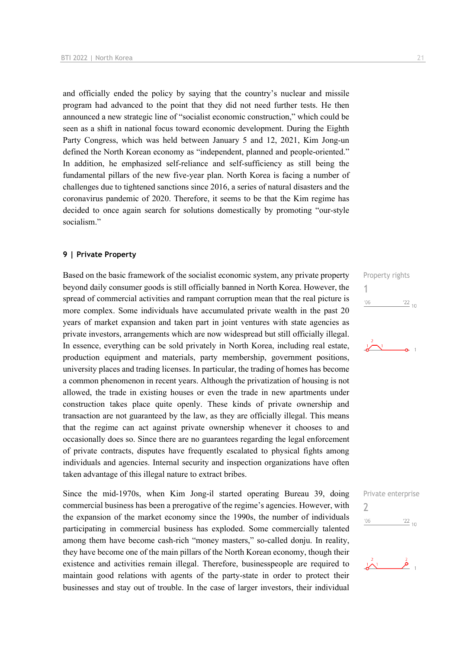and officially ended the policy by saying that the country's nuclear and missile program had advanced to the point that they did not need further tests. He then announced a new strategic line of "socialist economic construction," which could be seen as a shift in national focus toward economic development. During the Eighth Party Congress, which was held between January 5 and 12, 2021, Kim Jong-un defined the North Korean economy as "independent, planned and people-oriented." In addition, he emphasized self-reliance and self-sufficiency as still being the fundamental pillars of the new five-year plan. North Korea is facing a number of challenges due to tightened sanctions since 2016, a series of natural disasters and the coronavirus pandemic of 2020. Therefore, it seems to be that the Kim regime has decided to once again search for solutions domestically by promoting "our-style socialism."

#### **9 | Private Property**

Based on the basic framework of the socialist economic system, any private property beyond daily consumer goods is still officially banned in North Korea. However, the spread of commercial activities and rampant corruption mean that the real picture is more complex. Some individuals have accumulated private wealth in the past 20 years of market expansion and taken part in joint ventures with state agencies as private investors, arrangements which are now widespread but still officially illegal. In essence, everything can be sold privately in North Korea, including real estate, production equipment and materials, party membership, government positions, university places and trading licenses. In particular, the trading of homes has become a common phenomenon in recent years. Although the privatization of housing is not allowed, the trade in existing houses or even the trade in new apartments under construction takes place quite openly. These kinds of private ownership and transaction are not guaranteed by the law, as they are officially illegal. This means that the regime can act against private ownership whenever it chooses to and occasionally does so. Since there are no guarantees regarding the legal enforcement of private contracts, disputes have frequently escalated to physical fights among individuals and agencies. Internal security and inspection organizations have often taken advantage of this illegal nature to extract bribes.

Since the mid-1970s, when Kim Jong-il started operating Bureau 39, doing commercial business has been a prerogative of the regime's agencies. However, with the expansion of the market economy since the 1990s, the number of individuals participating in commercial business has exploded. Some commercially talented among them have become cash-rich "money masters," so-called donju. In reality, they have become one of the main pillars of the North Korean economy, though their existence and activities remain illegal. Therefore, businesspeople are required to maintain good relations with agents of the party-state in order to protect their businesses and stay out of trouble. In the case of larger investors, their individual





|               | Private enterprise |
|---------------|--------------------|
| $\mathcal{L}$ |                    |
| '06           | $^{22}$ 10         |

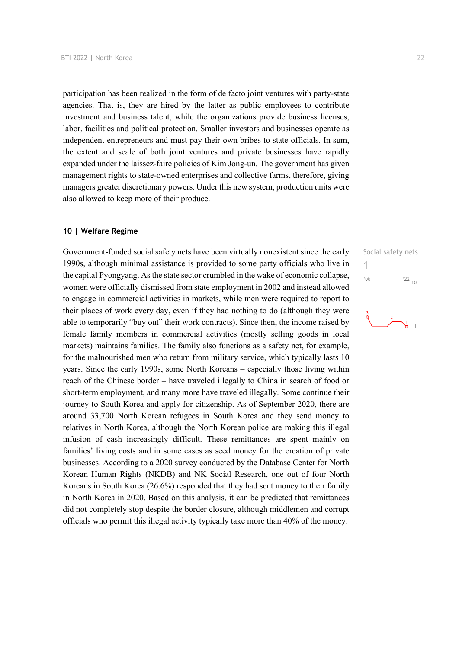participation has been realized in the form of de facto joint ventures with party-state agencies. That is, they are hired by the latter as public employees to contribute investment and business talent, while the organizations provide business licenses, labor, facilities and political protection. Smaller investors and businesses operate as independent entrepreneurs and must pay their own bribes to state officials. In sum, the extent and scale of both joint ventures and private businesses have rapidly expanded under the laissez-faire policies of Kim Jong-un. The government has given management rights to state-owned enterprises and collective farms, therefore, giving managers greater discretionary powers. Under this new system, production units were also allowed to keep more of their produce.

#### **10 | Welfare Regime**

Government-funded social safety nets have been virtually nonexistent since the early 1990s, although minimal assistance is provided to some party officials who live in the capital Pyongyang. As the state sector crumbled in the wake of economic collapse, women were officially dismissed from state employment in 2002 and instead allowed to engage in commercial activities in markets, while men were required to report to their places of work every day, even if they had nothing to do (although they were able to temporarily "buy out" their work contracts). Since then, the income raised by female family members in commercial activities (mostly selling goods in local markets) maintains families. The family also functions as a safety net, for example, for the malnourished men who return from military service, which typically lasts 10 years. Since the early 1990s, some North Koreans – especially those living within reach of the Chinese border – have traveled illegally to China in search of food or short-term employment, and many more have traveled illegally. Some continue their journey to South Korea and apply for citizenship. As of September 2020, there are around 33,700 North Korean refugees in South Korea and they send money to relatives in North Korea, although the North Korean police are making this illegal infusion of cash increasingly difficult. These remittances are spent mainly on families' living costs and in some cases as seed money for the creation of private businesses. According to a 2020 survey conducted by the Database Center for North Korean Human Rights (NKDB) and NK Social Research, one out of four North Koreans in South Korea (26.6%) responded that they had sent money to their family in North Korea in 2020. Based on this analysis, it can be predicted that remittances did not completely stop despite the border closure, although middlemen and corrupt officials who permit this illegal activity typically take more than 40% of the money.

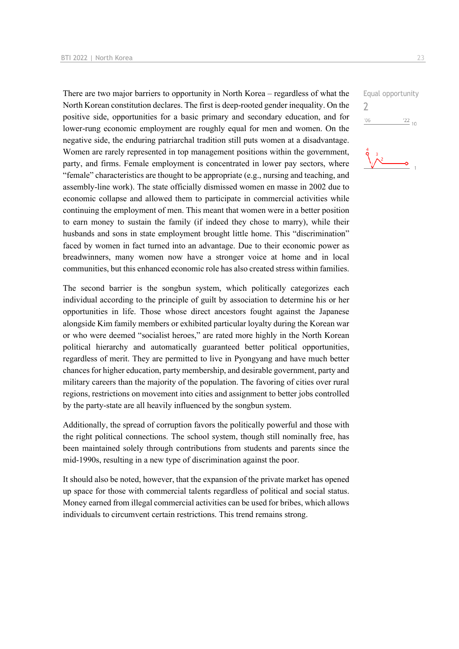There are two major barriers to opportunity in North Korea – regardless of what the North Korean constitution declares. The first is deep-rooted gender inequality. On the positive side, opportunities for a basic primary and secondary education, and for lower-rung economic employment are roughly equal for men and women. On the negative side, the enduring patriarchal tradition still puts women at a disadvantage. Women are rarely represented in top management positions within the government, party, and firms. Female employment is concentrated in lower pay sectors, where "female" characteristics are thought to be appropriate (e.g., nursing and teaching, and assembly-line work). The state officially dismissed women en masse in 2002 due to economic collapse and allowed them to participate in commercial activities while continuing the employment of men. This meant that women were in a better position to earn money to sustain the family (if indeed they chose to marry), while their husbands and sons in state employment brought little home. This "discrimination" faced by women in fact turned into an advantage. Due to their economic power as breadwinners, many women now have a stronger voice at home and in local communities, but this enhanced economic role has also created stress within families.

The second barrier is the songbun system, which politically categorizes each individual according to the principle of guilt by association to determine his or her opportunities in life. Those whose direct ancestors fought against the Japanese alongside Kim family members or exhibited particular loyalty during the Korean war or who were deemed "socialist heroes," are rated more highly in the North Korean political hierarchy and automatically guaranteed better political opportunities, regardless of merit. They are permitted to live in Pyongyang and have much better chances for higher education, party membership, and desirable government, party and military careers than the majority of the population. The favoring of cities over rural regions, restrictions on movement into cities and assignment to better jobs controlled by the party-state are all heavily influenced by the songbun system.

Additionally, the spread of corruption favors the politically powerful and those with the right political connections. The school system, though still nominally free, has been maintained solely through contributions from students and parents since the mid-1990s, resulting in a new type of discrimination against the poor.

It should also be noted, however, that the expansion of the private market has opened up space for those with commercial talents regardless of political and social status. Money earned from illegal commercial activities can be used for bribes, which allows individuals to circumvent certain restrictions. This trend remains strong.

Equal opportunity 2 $^{\prime}06$  $\frac{22}{10}$ 

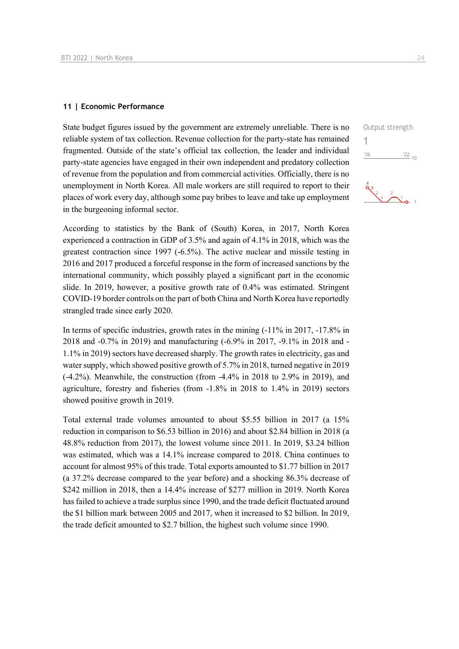#### **11 | Economic Performance**

State budget figures issued by the government are extremely unreliable. There is no reliable system of tax collection. Revenue collection for the party-state has remained fragmented. Outside of the state's official tax collection, the leader and individual party-state agencies have engaged in their own independent and predatory collection of revenue from the population and from commercial activities. Officially, there is no unemployment in North Korea. All male workers are still required to report to their places of work every day, although some pay bribes to leave and take up employment in the burgeoning informal sector.

According to statistics by the Bank of (South) Korea, in 2017, North Korea experienced a contraction in GDP of 3.5% and again of 4.1% in 2018, which was the greatest contraction since 1997 (-6.5%). The active nuclear and missile testing in 2016 and 2017 produced a forceful response in the form of increased sanctions by the international community, which possibly played a significant part in the economic slide. In 2019, however, a positive growth rate of 0.4% was estimated. Stringent COVID-19 border controls on the part of both China and North Korea have reportedly strangled trade since early 2020.

In terms of specific industries, growth rates in the mining (-11% in 2017, -17.8% in 2018 and -0.7% in 2019) and manufacturing (-6.9% in 2017, -9.1% in 2018 and - 1.1% in 2019) sectors have decreased sharply. The growth rates in electricity, gas and water supply, which showed positive growth of 5.7% in 2018, turned negative in 2019 (-4.2%). Meanwhile, the construction (from -4.4% in 2018 to 2.9% in 2019), and agriculture, forestry and fisheries (from -1.8% in 2018 to 1.4% in 2019) sectors showed positive growth in 2019.

Total external trade volumes amounted to about \$5.55 billion in 2017 (a 15% reduction in comparison to \$6.53 billion in 2016) and about \$2.84 billion in 2018 (a 48.8% reduction from 2017), the lowest volume since 2011. In 2019, \$3.24 billion was estimated, which was a 14.1% increase compared to 2018. China continues to account for almost 95% of this trade. Total exports amounted to \$1.77 billion in 2017 (a 37.2% decrease compared to the year before) and a shocking 86.3% decrease of \$242 million in 2018, then a 14.4% increase of \$277 million in 2019. North Korea has failed to achieve a trade surplus since 1990, and the trade deficit fluctuated around the \$1 billion mark between 2005 and 2017, when it increased to \$2 billion. In 2019, the trade deficit amounted to \$2.7 billion, the highest such volume since 1990.

Output strength 1 $'06$  $\frac{22}{10}$  $\frac{4}{3}$   $\frac{2}{1}$   $\frac{2}{1}$   $\frac{1}{2}$   $\frac{1}{2}$   $\frac{1}{2}$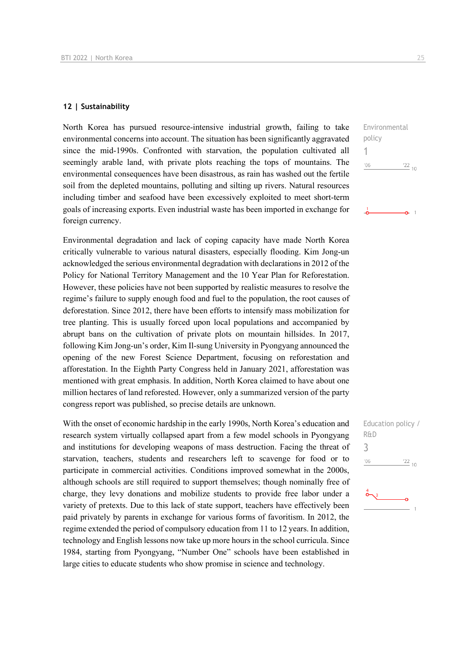#### **12 | Sustainability**

North Korea has pursued resource-intensive industrial growth, failing to take environmental concerns into account. The situation has been significantly aggravated since the mid-1990s. Confronted with starvation, the population cultivated all seemingly arable land, with private plots reaching the tops of mountains. The environmental consequences have been disastrous, as rain has washed out the fertile soil from the depleted mountains, polluting and silting up rivers. Natural resources including timber and seafood have been excessively exploited to meet short-term goals of increasing exports. Even industrial waste has been imported in exchange for foreign currency.

Environmental degradation and lack of coping capacity have made North Korea critically vulnerable to various natural disasters, especially flooding. Kim Jong-un acknowledged the serious environmental degradation with declarations in 2012 of the Policy for National Territory Management and the 10 Year Plan for Reforestation. However, these policies have not been supported by realistic measures to resolve the regime's failure to supply enough food and fuel to the population, the root causes of deforestation. Since 2012, there have been efforts to intensify mass mobilization for tree planting. This is usually forced upon local populations and accompanied by abrupt bans on the cultivation of private plots on mountain hillsides. In 2017, following Kim Jong-un's order, Kim Il-sung University in Pyongyang announced the opening of the new Forest Science Department, focusing on reforestation and afforestation. In the Eighth Party Congress held in January 2021, afforestation was mentioned with great emphasis. In addition, North Korea claimed to have about one million hectares of land reforested. However, only a summarized version of the party congress report was published, so precise details are unknown.

With the onset of economic hardship in the early 1990s, North Korea's education and research system virtually collapsed apart from a few model schools in Pyongyang and institutions for developing weapons of mass destruction. Facing the threat of starvation, teachers, students and researchers left to scavenge for food or to participate in commercial activities. Conditions improved somewhat in the 2000s, although schools are still required to support themselves; though nominally free of charge, they levy donations and mobilize students to provide free labor under a variety of pretexts. Due to this lack of state support, teachers have effectively been paid privately by parents in exchange for various forms of favoritism. In 2012, the regime extended the period of compulsory education from 11 to 12 years. In addition, technology and English lessons now take up more hours in the school curricula. Since 1984, starting from Pyongyang, "Number One" schools have been established in large cities to educate students who show promise in science and technology.



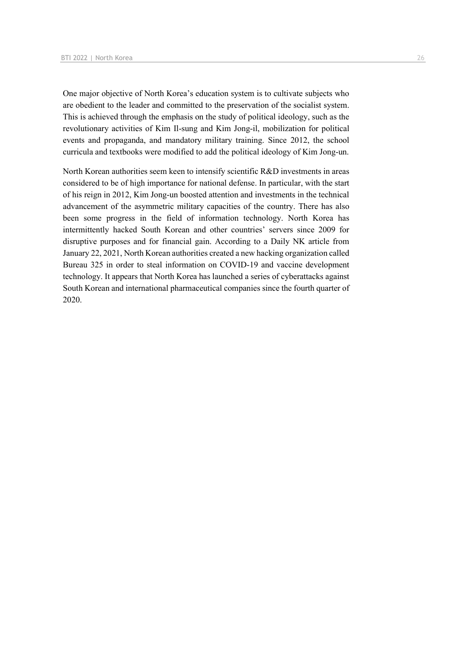One major objective of North Korea's education system is to cultivate subjects who are obedient to the leader and committed to the preservation of the socialist system. This is achieved through the emphasis on the study of political ideology, such as the revolutionary activities of Kim Il-sung and Kim Jong-il, mobilization for political events and propaganda, and mandatory military training. Since 2012, the school curricula and textbooks were modified to add the political ideology of Kim Jong-un.

North Korean authorities seem keen to intensify scientific R&D investments in areas considered to be of high importance for national defense. In particular, with the start of his reign in 2012, Kim Jong-un boosted attention and investments in the technical advancement of the asymmetric military capacities of the country. There has also been some progress in the field of information technology. North Korea has intermittently hacked South Korean and other countries' servers since 2009 for disruptive purposes and for financial gain. According to a Daily NK article from January 22, 2021, North Korean authorities created a new hacking organization called Bureau 325 in order to steal information on COVID-19 and vaccine development technology. It appears that North Korea has launched a series of cyberattacks against South Korean and international pharmaceutical companies since the fourth quarter of 2020.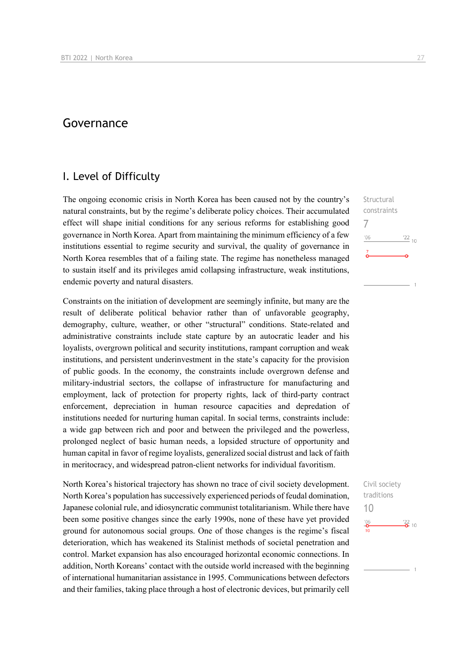## Governance

## I. Level of Difficulty

The ongoing economic crisis in North Korea has been caused not by the country's natural constraints, but by the regime's deliberate policy choices. Their accumulated effect will shape initial conditions for any serious reforms for establishing good governance in North Korea. Apart from maintaining the minimum efficiency of a few institutions essential to regime security and survival, the quality of governance in North Korea resembles that of a failing state. The regime has nonetheless managed to sustain itself and its privileges amid collapsing infrastructure, weak institutions, endemic poverty and natural disasters.

Constraints on the initiation of development are seemingly infinite, but many are the result of deliberate political behavior rather than of unfavorable geography, demography, culture, weather, or other "structural" conditions. State-related and administrative constraints include state capture by an autocratic leader and his loyalists, overgrown political and security institutions, rampant corruption and weak institutions, and persistent underinvestment in the state's capacity for the provision of public goods. In the economy, the constraints include overgrown defense and military-industrial sectors, the collapse of infrastructure for manufacturing and employment, lack of protection for property rights, lack of third-party contract enforcement, depreciation in human resource capacities and depredation of institutions needed for nurturing human capital. In social terms, constraints include: a wide gap between rich and poor and between the privileged and the powerless, prolonged neglect of basic human needs, a lopsided structure of opportunity and human capital in favor of regime loyalists, generalized social distrust and lack of faith in meritocracy, and widespread patron-client networks for individual favoritism.

North Korea's historical trajectory has shown no trace of civil society development. North Korea's population has successively experienced periods of feudal domination, Japanese colonial rule, and idiosyncratic communist totalitarianism. While there have been some positive changes since the early 1990s, none of these have yet provided ground for autonomous social groups. One of those changes is the regime's fiscal deterioration, which has weakened its Stalinist methods of societal penetration and control. Market expansion has also encouraged horizontal economic connections. In addition, North Koreans' contact with the outside world increased with the beginning of international humanitarian assistance in 1995. Communications between defectors and their families, taking place through a host of electronic devices, but primarily cell

**Structural** constraints 7  $n<sub>6</sub>$  $^{22}$  10

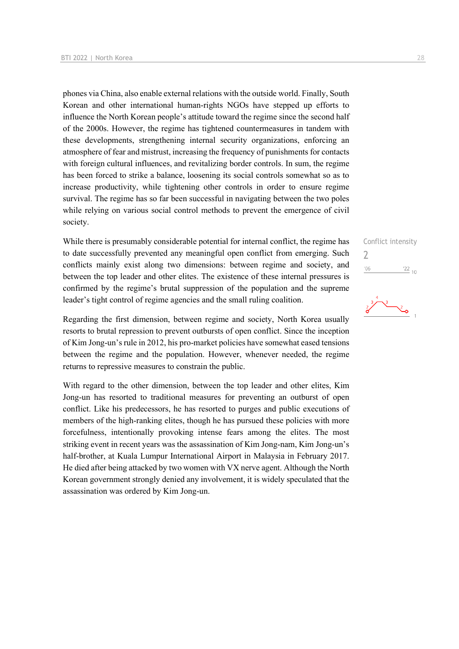phones via China, also enable external relations with the outside world. Finally, South Korean and other international human-rights NGOs have stepped up efforts to influence the North Korean people's attitude toward the regime since the second half of the 2000s. However, the regime has tightened countermeasures in tandem with these developments, strengthening internal security organizations, enforcing an atmosphere of fear and mistrust, increasing the frequency of punishments for contacts with foreign cultural influences, and revitalizing border controls. In sum, the regime has been forced to strike a balance, loosening its social controls somewhat so as to increase productivity, while tightening other controls in order to ensure regime survival. The regime has so far been successful in navigating between the two poles while relying on various social control methods to prevent the emergence of civil society.

While there is presumably considerable potential for internal conflict, the regime has to date successfully prevented any meaningful open conflict from emerging. Such conflicts mainly exist along two dimensions: between regime and society, and between the top leader and other elites. The existence of these internal pressures is confirmed by the regime's brutal suppression of the population and the supreme leader's tight control of regime agencies and the small ruling coalition.

Regarding the first dimension, between regime and society, North Korea usually resorts to brutal repression to prevent outbursts of open conflict. Since the inception of Kim Jong-un's rule in 2012, his pro-market policies have somewhat eased tensions between the regime and the population. However, whenever needed, the regime returns to repressive measures to constrain the public.

With regard to the other dimension, between the top leader and other elites, Kim Jong-un has resorted to traditional measures for preventing an outburst of open conflict. Like his predecessors, he has resorted to purges and public executions of members of the high-ranking elites, though he has pursued these policies with more forcefulness, intentionally provoking intense fears among the elites. The most striking event in recent years was the assassination of Kim Jong-nam, Kim Jong-un's half-brother, at Kuala Lumpur International Airport in Malaysia in February 2017. He died after being attacked by two women with VX nerve agent. Although the North Korean government strongly denied any involvement, it is widely speculated that the assassination was ordered by Kim Jong-un.



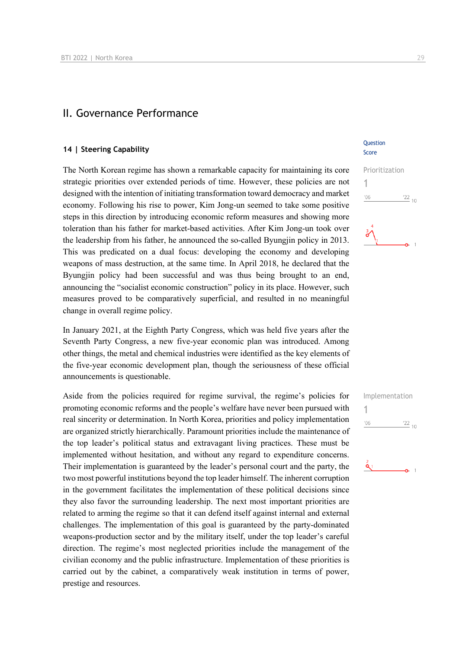### II. Governance Performance

#### **14 | Steering Capability**

The North Korean regime has shown a remarkable capacity for maintaining its core strategic priorities over extended periods of time. However, these policies are not designed with the intention of initiating transformation toward democracy and market economy. Following his rise to power, Kim Jong-un seemed to take some positive steps in this direction by introducing economic reform measures and showing more toleration than his father for market-based activities. After Kim Jong-un took over the leadership from his father, he announced the so-called Byungjin policy in 2013. This was predicated on a dual focus: developing the economy and developing weapons of mass destruction, at the same time. In April 2018, he declared that the Byungjin policy had been successful and was thus being brought to an end, announcing the "socialist economic construction" policy in its place. However, such measures proved to be comparatively superficial, and resulted in no meaningful change in overall regime policy.

In January 2021, at the Eighth Party Congress, which was held five years after the Seventh Party Congress, a new five-year economic plan was introduced. Among other things, the metal and chemical industries were identified as the key elements of the five-year economic development plan, though the seriousness of these official announcements is questionable.

Aside from the policies required for regime survival, the regime's policies for promoting economic reforms and the people's welfare have never been pursued with real sincerity or determination. In North Korea, priorities and policy implementation are organized strictly hierarchically. Paramount priorities include the maintenance of the top leader's political status and extravagant living practices. These must be implemented without hesitation, and without any regard to expenditure concerns. Their implementation is guaranteed by the leader's personal court and the party, the two most powerful institutions beyond the top leader himself. The inherent corruption in the government facilitates the implementation of these political decisions since they also favor the surrounding leadership. The next most important priorities are related to arming the regime so that it can defend itself against internal and external challenges. The implementation of this goal is guaranteed by the party-dominated weapons-production sector and by the military itself, under the top leader's careful direction. The regime's most neglected priorities include the management of the civilian economy and the public infrastructure. Implementation of these priorities is carried out by the cabinet, a comparatively weak institution in terms of power, prestige and resources.

#### **Ouestion** Score



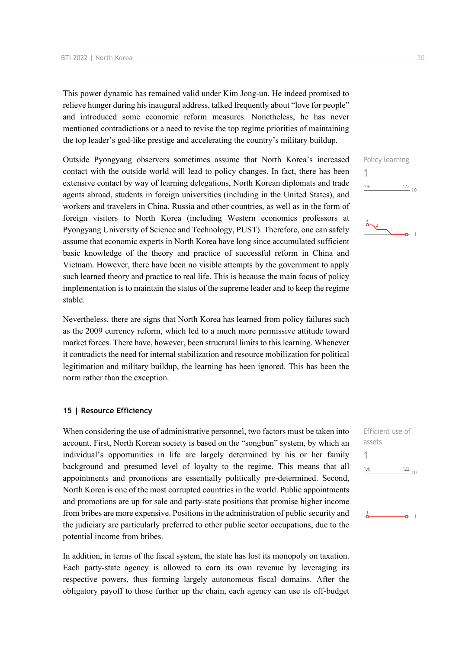This power dynamic has remained valid under Kim Jong-un. He indeed promised to relieve hunger during his inaugural address, talked frequently about "love for people" and introduced some economic reform measures. Nonetheless, he has never mentioned contradictions or a need to revise the top regime priorities of maintaining the top leader's god-like prestige and accelerating the country's military buildup.

Outside Pyongyang observers sometimes assume that North Korea's increased contact with the outside world will lead to policy changes. In fact, there has been extensive contact by way of learning delegations, North Korean diplomats and trade agents abroad, students in foreign universities (including in the United States), and workers and travelers in China, Russia and other countries, as well as in the form of foreign visitors to North Korea (including Western economics professors at Pyongyang University of Science and Technology, PUST). Therefore, one can safely assume that economic experts in North Korea have long since accumulated sufficient basic knowledge of the theory and practice of successful reform in China and Vietnam. However, there have been no visible attempts by the government to apply such learned theory and practice to real life. This is because the main focus of policy implementation is to maintain the status of the supreme leader and to keep the regime stable.

Nevertheless, there are signs that North Korea has learned from policy failures such as the 2009 currency reform, which led to a much more permissive attitude toward market forces. There have, however, been structural limits to this learning. Whenever it contradicts the need for internal stabilization and resource mobilization for political legitimation and military buildup, the learning has been ignored. This has been the norm rather than the exception.

#### **15 | Resource Efficiency**

When considering the use of administrative personnel, two factors must be taken into account. First, North Korean society is based on the "songbun" system, by which an individual's opportunities in life are largely determined by his or her family background and presumed level of loyalty to the regime. This means that all appointments and promotions are essentially politically pre-determined. Second, North Korea is one of the most corrupted countries in the world. Public appointments and promotions are up for sale and party-state positions that promise higher income from bribes are more expensive. Positions in the administration of public security and the judiciary are particularly preferred to other public sector occupations, due to the potential income from bribes.

In addition, in terms of the fiscal system, the state has lost its monopoly on taxation. Each party-state agency is allowed to earn its own revenue by leveraging its respective powers, thus forming largely autonomous fiscal domains. After the obligatory payoff to those further up the chain, each agency can use its off-budget 1

 $'06$ 



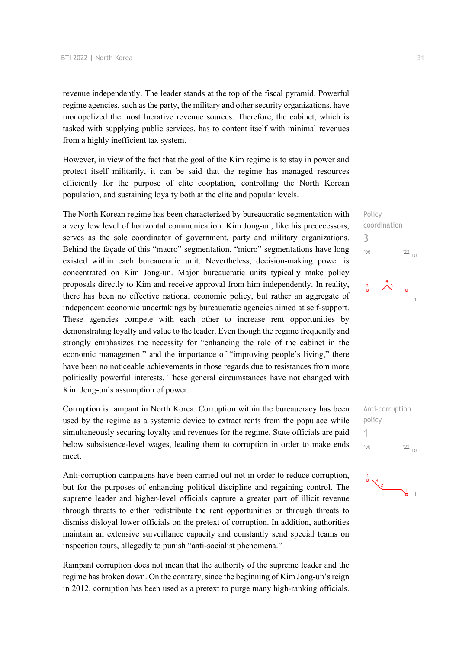revenue independently. The leader stands at the top of the fiscal pyramid. Powerful regime agencies, such as the party, the military and other security organizations, have monopolized the most lucrative revenue sources. Therefore, the cabinet, which is tasked with supplying public services, has to content itself with minimal revenues from a highly inefficient tax system.

However, in view of the fact that the goal of the Kim regime is to stay in power and protect itself militarily, it can be said that the regime has managed resources efficiently for the purpose of elite cooptation, controlling the North Korean population, and sustaining loyalty both at the elite and popular levels.

The North Korean regime has been characterized by bureaucratic segmentation with a very low level of horizontal communication. Kim Jong-un, like his predecessors, serves as the sole coordinator of government, party and military organizations. Behind the façade of this "macro" segmentation, "micro" segmentations have long existed within each bureaucratic unit. Nevertheless, decision-making power is concentrated on Kim Jong-un. Major bureaucratic units typically make policy proposals directly to Kim and receive approval from him independently. In reality, there has been no effective national economic policy, but rather an aggregate of independent economic undertakings by bureaucratic agencies aimed at self-support. These agencies compete with each other to increase rent opportunities by demonstrating loyalty and value to the leader. Even though the regime frequently and strongly emphasizes the necessity for "enhancing the role of the cabinet in the economic management" and the importance of "improving people's living," there have been no noticeable achievements in those regards due to resistances from more politically powerful interests. These general circumstances have not changed with Kim Jong-un's assumption of power.

Corruption is rampant in North Korea. Corruption within the bureaucracy has been used by the regime as a systemic device to extract rents from the populace while simultaneously securing loyalty and revenues for the regime. State officials are paid below subsistence-level wages, leading them to corruption in order to make ends meet.

Anti-corruption campaigns have been carried out not in order to reduce corruption, but for the purposes of enhancing political discipline and regaining control. The supreme leader and higher-level officials capture a greater part of illicit revenue through threats to either redistribute the rent opportunities or through threats to dismiss disloyal lower officials on the pretext of corruption. In addition, authorities maintain an extensive surveillance capacity and constantly send special teams on inspection tours, allegedly to punish "anti-socialist phenomena."

Rampant corruption does not mean that the authority of the supreme leader and the regime has broken down. On the contrary, since the beginning of Kim Jong-un's reign in 2012, corruption has been used as a pretext to purge many high-ranking officials. Policy coordination 3  $\frac{22}{10}$  $n<sub>0</sub>$ 



Anti-corruption policy 1 $106$  $\frac{22}{10}$ 

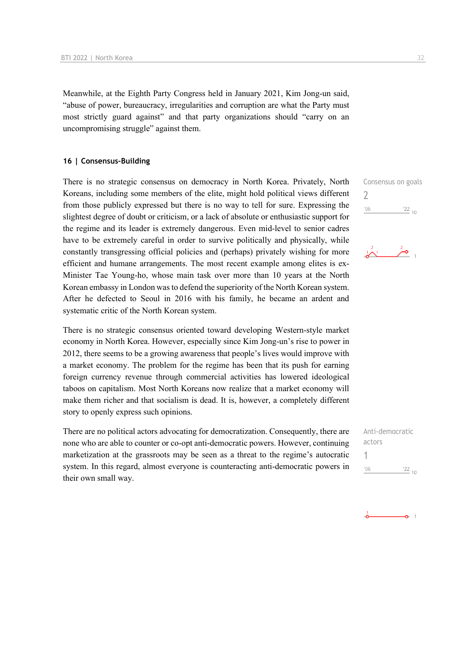Meanwhile, at the Eighth Party Congress held in January 2021, Kim Jong-un said, "abuse of power, bureaucracy, irregularities and corruption are what the Party must most strictly guard against" and that party organizations should "carry on an uncompromising struggle" against them.

#### **16 | Consensus-Building**

There is no strategic consensus on democracy in North Korea. Privately, North Koreans, including some members of the elite, might hold political views different from those publicly expressed but there is no way to tell for sure. Expressing the slightest degree of doubt or criticism, or a lack of absolute or enthusiastic support for the regime and its leader is extremely dangerous. Even mid-level to senior cadres have to be extremely careful in order to survive politically and physically, while constantly transgressing official policies and (perhaps) privately wishing for more efficient and humane arrangements. The most recent example among elites is ex-Minister Tae Young-ho, whose main task over more than 10 years at the North Korean embassy in London was to defend the superiority of the North Korean system. After he defected to Seoul in 2016 with his family, he became an ardent and systematic critic of the North Korean system.

There is no strategic consensus oriented toward developing Western-style market economy in North Korea. However, especially since Kim Jong-un's rise to power in 2012, there seems to be a growing awareness that people's lives would improve with a market economy. The problem for the regime has been that its push for earning foreign currency revenue through commercial activities has lowered ideological taboos on capitalism. Most North Koreans now realize that a market economy will make them richer and that socialism is dead. It is, however, a completely different story to openly express such opinions.

There are no political actors advocating for democratization. Consequently, there are none who are able to counter or co-opt anti-democratic powers. However, continuing marketization at the grassroots may be seen as a threat to the regime's autocratic system. In this regard, almost everyone is counteracting anti-democratic powers in their own small way.

Consensus on goals  $\overline{\phantom{0}}$  $'06$  $122_{10}$ 



| Anti-democratic |           |
|-----------------|-----------|
| actors          |           |
|                 |           |
| '06             | $22_{10}$ |

$$
\bullet \qquad \bullet \qquad \bullet
$$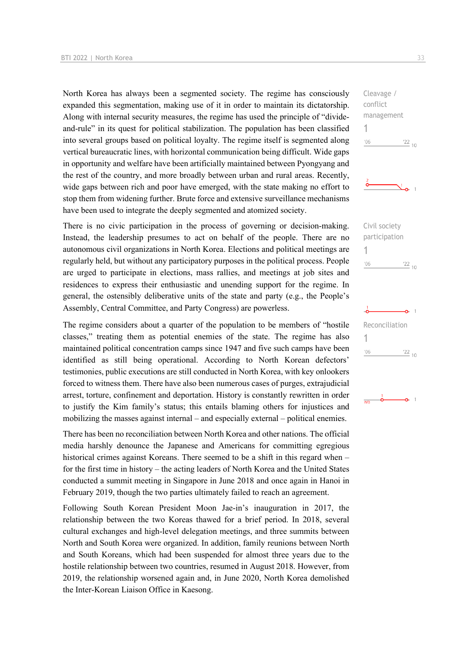North Korea has always been a segmented society. The regime has consciously expanded this segmentation, making use of it in order to maintain its dictatorship. Along with internal security measures, the regime has used the principle of "divideand-rule" in its quest for political stabilization. The population has been classified into several groups based on political loyalty. The regime itself is segmented along vertical bureaucratic lines, with horizontal communication being difficult. Wide gaps in opportunity and welfare have been artificially maintained between Pyongyang and the rest of the country, and more broadly between urban and rural areas. Recently, wide gaps between rich and poor have emerged, with the state making no effort to stop them from widening further. Brute force and extensive surveillance mechanisms have been used to integrate the deeply segmented and atomized society.

There is no civic participation in the process of governing or decision-making. Instead, the leadership presumes to act on behalf of the people. There are no autonomous civil organizations in North Korea. Elections and political meetings are regularly held, but without any participatory purposes in the political process. People are urged to participate in elections, mass rallies, and meetings at job sites and residences to express their enthusiastic and unending support for the regime. In general, the ostensibly deliberative units of the state and party (e.g., the People's Assembly, Central Committee, and Party Congress) are powerless.

The regime considers about a quarter of the population to be members of "hostile classes," treating them as potential enemies of the state. The regime has also maintained political concentration camps since 1947 and five such camps have been identified as still being operational. According to North Korean defectors' testimonies, public executions are still conducted in North Korea, with key onlookers forced to witness them. There have also been numerous cases of purges, extrajudicial arrest, torture, confinement and deportation. History is constantly rewritten in order to justify the Kim family's status; this entails blaming others for injustices and mobilizing the masses against internal – and especially external – political enemies.

There has been no reconciliation between North Korea and other nations. The official media harshly denounce the Japanese and Americans for committing egregious historical crimes against Koreans. There seemed to be a shift in this regard when – for the first time in history – the acting leaders of North Korea and the United States conducted a summit meeting in Singapore in June 2018 and once again in Hanoi in February 2019, though the two parties ultimately failed to reach an agreement.

Following South Korean President Moon Jae-in's inauguration in 2017, the relationship between the two Koreas thawed for a brief period. In 2018, several cultural exchanges and high-level delegation meetings, and three summits between North and South Korea were organized. In addition, family reunions between North and South Koreans, which had been suspended for almost three years due to the hostile relationship between two countries, resumed in August 2018. However, from 2019, the relationship worsened again and, in June 2020, North Korea demolished the Inter-Korean Liaison Office in Kaesong.



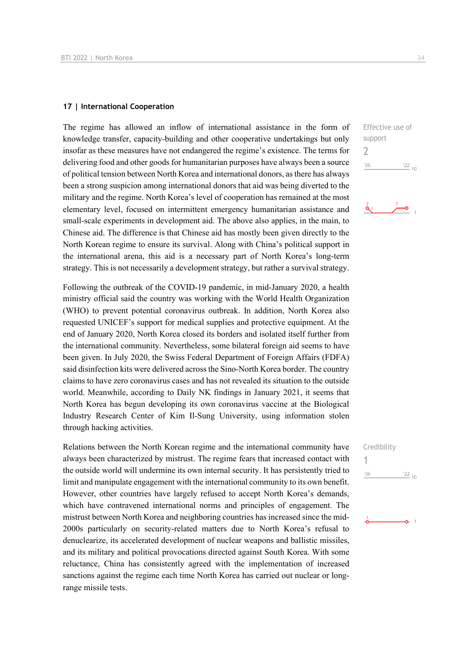#### **17 | International Cooperation**

The regime has allowed an inflow of international assistance in the form of knowledge transfer, capacity-building and other cooperative undertakings but only insofar as these measures have not endangered the regime's existence. The terms for delivering food and other goods for humanitarian purposes have always been a source of political tension between North Korea and international donors, as there has always been a strong suspicion among international donors that aid was being diverted to the military and the regime. North Korea's level of cooperation has remained at the most elementary level, focused on intermittent emergency humanitarian assistance and small-scale experiments in development aid. The above also applies, in the main, to Chinese aid. The difference is that Chinese aid has mostly been given directly to the North Korean regime to ensure its survival. Along with China's political support in the international arena, this aid is a necessary part of North Korea's long-term strategy. This is not necessarily a development strategy, but rather a survival strategy.

Following the outbreak of the COVID-19 pandemic, in mid-January 2020, a health ministry official said the country was working with the World Health Organization (WHO) to prevent potential coronavirus outbreak. In addition, North Korea also requested UNICEF's support for medical supplies and protective equipment. At the end of January 2020, North Korea closed its borders and isolated itself further from the international community. Nevertheless, some bilateral foreign aid seems to have been given. In July 2020, the Swiss Federal Department of Foreign Affairs (FDFA) said disinfection kits were delivered across the Sino-North Korea border. The country claims to have zero coronavirus cases and has not revealed its situation to the outside world. Meanwhile, according to Daily NK findings in January 2021, it seems that North Korea has begun developing its own coronavirus vaccine at the Biological Industry Research Center of Kim Il-Sung University, using information stolen through hacking activities.

Relations between the North Korean regime and the international community have always been characterized by mistrust. The regime fears that increased contact with the outside world will undermine its own internal security. It has persistently tried to limit and manipulate engagement with the international community to its own benefit. However, other countries have largely refused to accept North Korea's demands, which have contravened international norms and principles of engagement. The mistrust between North Korea and neighboring countries has increased since the mid-2000s particularly on security-related matters due to North Korea's refusal to denuclearize, its accelerated development of nuclear weapons and ballistic missiles, and its military and political provocations directed against South Korea. With some reluctance, China has consistently agreed with the implementation of increased sanctions against the regime each time North Korea has carried out nuclear or longrange missile tests.

Effective use of support 2  $06'$  $\frac{22}{10}$ 

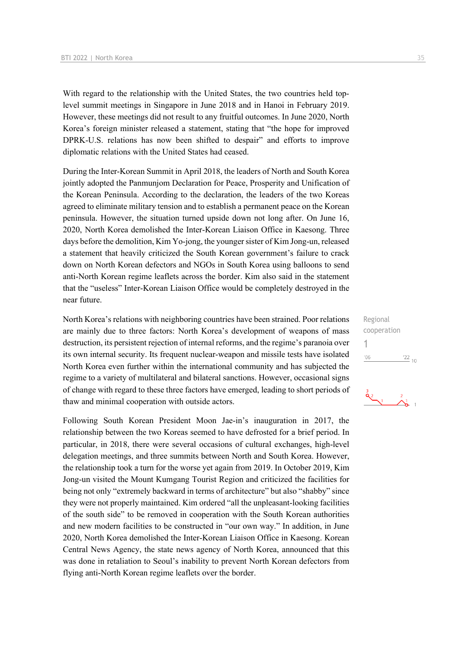With regard to the relationship with the United States, the two countries held toplevel summit meetings in Singapore in June 2018 and in Hanoi in February 2019. However, these meetings did not result to any fruitful outcomes. In June 2020, North Korea's foreign minister released a statement, stating that "the hope for improved DPRK-U.S. relations has now been shifted to despair" and efforts to improve diplomatic relations with the United States had ceased.

During the Inter-Korean Summit in April 2018, the leaders of North and South Korea jointly adopted the Panmunjom Declaration for Peace, Prosperity and Unification of the Korean Peninsula. According to the declaration, the leaders of the two Koreas agreed to eliminate military tension and to establish a permanent peace on the Korean peninsula. However, the situation turned upside down not long after. On June 16, 2020, North Korea demolished the Inter-Korean Liaison Office in Kaesong. Three days before the demolition, Kim Yo-jong, the younger sister of Kim Jong-un, released a statement that heavily criticized the South Korean government's failure to crack down on North Korean defectors and NGOs in South Korea using balloons to send anti-North Korean regime leaflets across the border. Kim also said in the statement that the "useless" Inter-Korean Liaison Office would be completely destroyed in the near future.

North Korea's relations with neighboring countries have been strained. Poor relations are mainly due to three factors: North Korea's development of weapons of mass destruction, its persistent rejection of internal reforms, and the regime's paranoia over its own internal security. Its frequent nuclear-weapon and missile tests have isolated North Korea even further within the international community and has subjected the regime to a variety of multilateral and bilateral sanctions. However, occasional signs of change with regard to these three factors have emerged, leading to short periods of thaw and minimal cooperation with outside actors.

Following South Korean President Moon Jae-in's inauguration in 2017, the relationship between the two Koreas seemed to have defrosted for a brief period. In particular, in 2018, there were several occasions of cultural exchanges, high-level delegation meetings, and three summits between North and South Korea. However, the relationship took a turn for the worse yet again from 2019. In October 2019, Kim Jong-un visited the Mount Kumgang Tourist Region and criticized the facilities for being not only "extremely backward in terms of architecture" but also "shabby" since they were not properly maintained. Kim ordered "all the unpleasant-looking facilities of the south side" to be removed in cooperation with the South Korean authorities and new modern facilities to be constructed in "our own way." In addition, in June 2020, North Korea demolished the Inter-Korean Liaison Office in Kaesong. Korean Central News Agency, the state news agency of North Korea, announced that this was done in retaliation to Seoul's inability to prevent North Korean defectors from flying anti-North Korean regime leaflets over the border.

Regional cooperation 1 $\frac{22}{10}$  $'06$ 

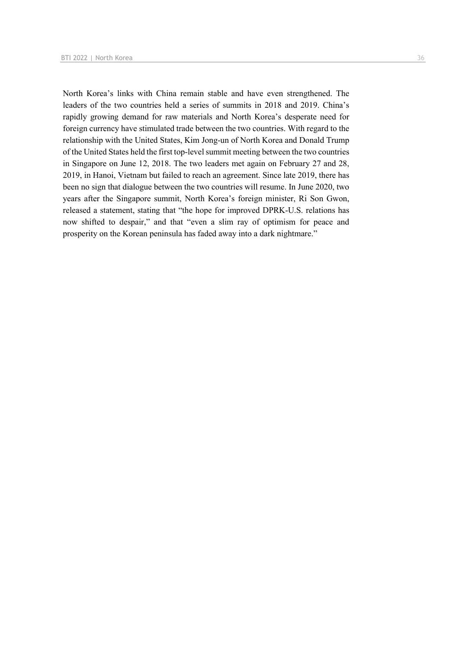North Korea's links with China remain stable and have even strengthened. The leaders of the two countries held a series of summits in 2018 and 2019. China's rapidly growing demand for raw materials and North Korea's desperate need for foreign currency have stimulated trade between the two countries. With regard to the relationship with the United States, Kim Jong-un of North Korea and Donald Trump of the United States held the first top-level summit meeting between the two countries in Singapore on June 12, 2018. The two leaders met again on February 27 and 28, 2019, in Hanoi, Vietnam but failed to reach an agreement. Since late 2019, there has been no sign that dialogue between the two countries will resume. In June 2020, two years after the Singapore summit, North Korea's foreign minister, Ri Son Gwon, released a statement, stating that "the hope for improved DPRK-U.S. relations has now shifted to despair," and that "even a slim ray of optimism for peace and prosperity on the Korean peninsula has faded away into a dark nightmare."